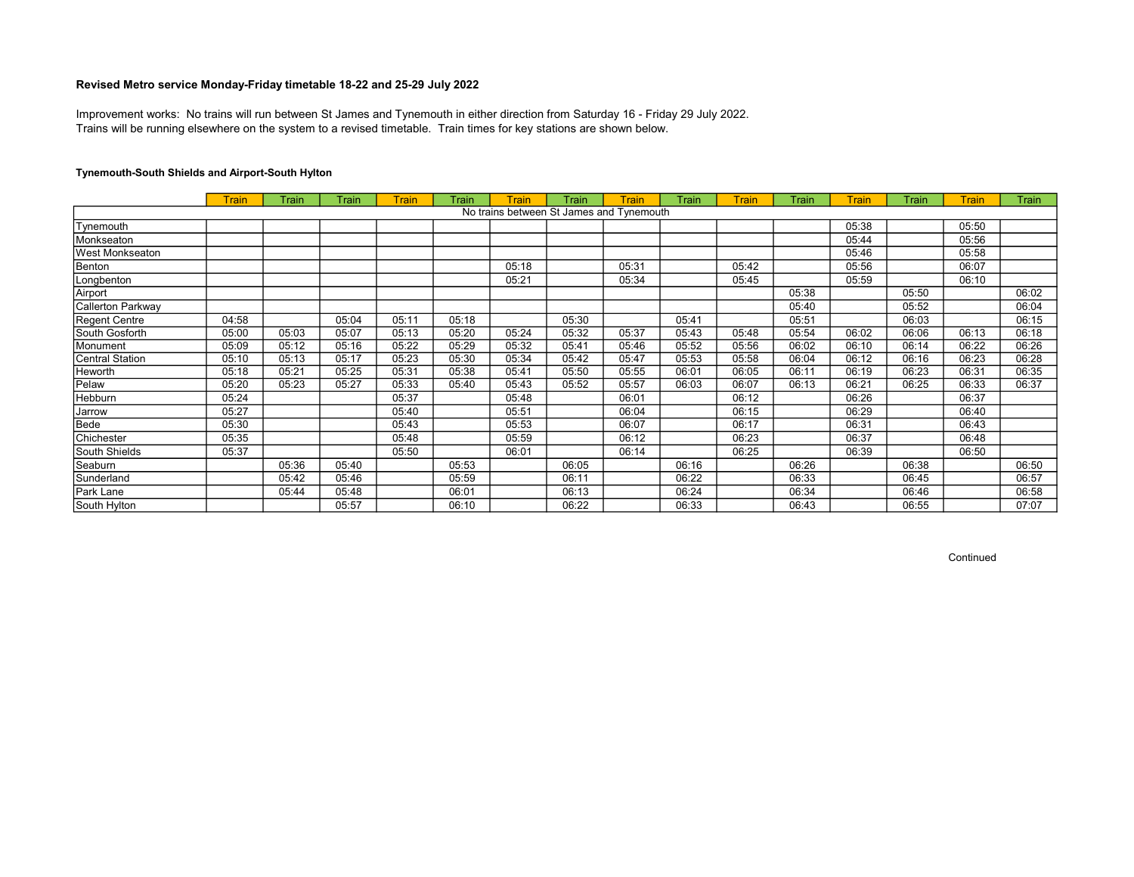Trains will be running elsewhere on the system to a revised timetable. Train times for key stations are shown below. Improvement works: No trains will run between St James and Tynemouth in either direction from Saturday 16 - Friday 29 July 2022.

# Tynemouth-South Shields and Airport-South Hylton

|                        | <b>Train</b> | Train | Train | <b>Train</b> | Train | Train | Train                                    | Train | Train | <b>Train</b> | Train | <b>Train</b> | Train | <b>Train</b> | Train |
|------------------------|--------------|-------|-------|--------------|-------|-------|------------------------------------------|-------|-------|--------------|-------|--------------|-------|--------------|-------|
|                        |              |       |       |              |       |       | No trains between St James and Tynemouth |       |       |              |       |              |       |              |       |
| Tynemouth              |              |       |       |              |       |       |                                          |       |       |              |       | 05:38        |       | 05:50        |       |
| Monkseaton             |              |       |       |              |       |       |                                          |       |       |              |       | 05:44        |       | 05:56        |       |
| <b>West Monkseaton</b> |              |       |       |              |       |       |                                          |       |       |              |       | 05:46        |       | 05:58        |       |
| Benton                 |              |       |       |              |       | 05:18 |                                          | 05:31 |       | 05:42        |       | 05:56        |       | 06:07        |       |
| Longbenton             |              |       |       |              |       | 05:21 |                                          | 05:34 |       | 05:45        |       | 05:59        |       | 06:10        |       |
| Airport                |              |       |       |              |       |       |                                          |       |       |              | 05:38 |              | 05:50 |              | 06:02 |
| Callerton Parkway      |              |       |       |              |       |       |                                          |       |       |              | 05:40 |              | 05:52 |              | 06:04 |
| Regent Centre          | 04:58        |       | 05:04 | 05:11        | 05:18 |       | 05:30                                    |       | 05:41 |              | 05:51 |              | 06:03 |              | 06:15 |
| South Gosforth         | 05:00        | 05:03 | 05:07 | 05:13        | 05:20 | 05:24 | 05:32                                    | 05:37 | 05:43 | 05:48        | 05:54 | 06:02        | 06:06 | 06:13        | 06:18 |
| Monument               | 05:09        | 05:12 | 05:16 | 05:22        | 05:29 | 05:32 | 05:41                                    | 05:46 | 05:52 | 05:56        | 06:02 | 06:10        | 06:14 | 06:22        | 06:26 |
| Central Station        | 05:10        | 05:13 | 05:17 | 05:23        | 05:30 | 05:34 | 05:42                                    | 05:47 | 05:53 | 05:58        | 06:04 | 06:12        | 06:16 | 06:23        | 06:28 |
| Heworth                | 05:18        | 05:21 | 05:25 | 05:31        | 05:38 | 05:41 | 05:50                                    | 05:55 | 06:01 | 06:05        | 06:11 | 06:19        | 06:23 | 06:31        | 06:35 |
| Pelaw                  | 05:20        | 05:23 | 05:27 | 05:33        | 05:40 | 05:43 | 05:52                                    | 05:57 | 06:03 | 06:07        | 06:13 | 06:21        | 06:25 | 06:33        | 06:37 |
| Hebburn                | 05:24        |       |       | 05:37        |       | 05:48 |                                          | 06:01 |       | 06:12        |       | 06:26        |       | 06:37        |       |
| Jarrow                 | 05:27        |       |       | 05:40        |       | 05:51 |                                          | 06:04 |       | 06:15        |       | 06:29        |       | 06:40        |       |
| Bede                   | 05:30        |       |       | 05:43        |       | 05:53 |                                          | 06:07 |       | 06:17        |       | 06:31        |       | 06:43        |       |
| Chichester             | 05:35        |       |       | 05:48        |       | 05:59 |                                          | 06:12 |       | 06:23        |       | 06:37        |       | 06:48        |       |
| South Shields          | 05:37        |       |       | 05:50        |       | 06:01 |                                          | 06:14 |       | 06:25        |       | 06:39        |       | 06:50        |       |
| Seaburn                |              | 05:36 | 05:40 |              | 05:53 |       | 06:05                                    |       | 06:16 |              | 06:26 |              | 06:38 |              | 06:50 |
| Sunderland             |              | 05:42 | 05:46 |              | 05:59 |       | 06:11                                    |       | 06:22 |              | 06:33 |              | 06:45 |              | 06:57 |
| Park Lane              |              | 05:44 | 05:48 |              | 06:01 |       | 06:13                                    |       | 06:24 |              | 06:34 |              | 06:46 |              | 06:58 |
| South Hylton           |              |       | 05:57 |              | 06:10 |       | 06:22                                    |       | 06:33 |              | 06:43 |              | 06:55 |              | 07:07 |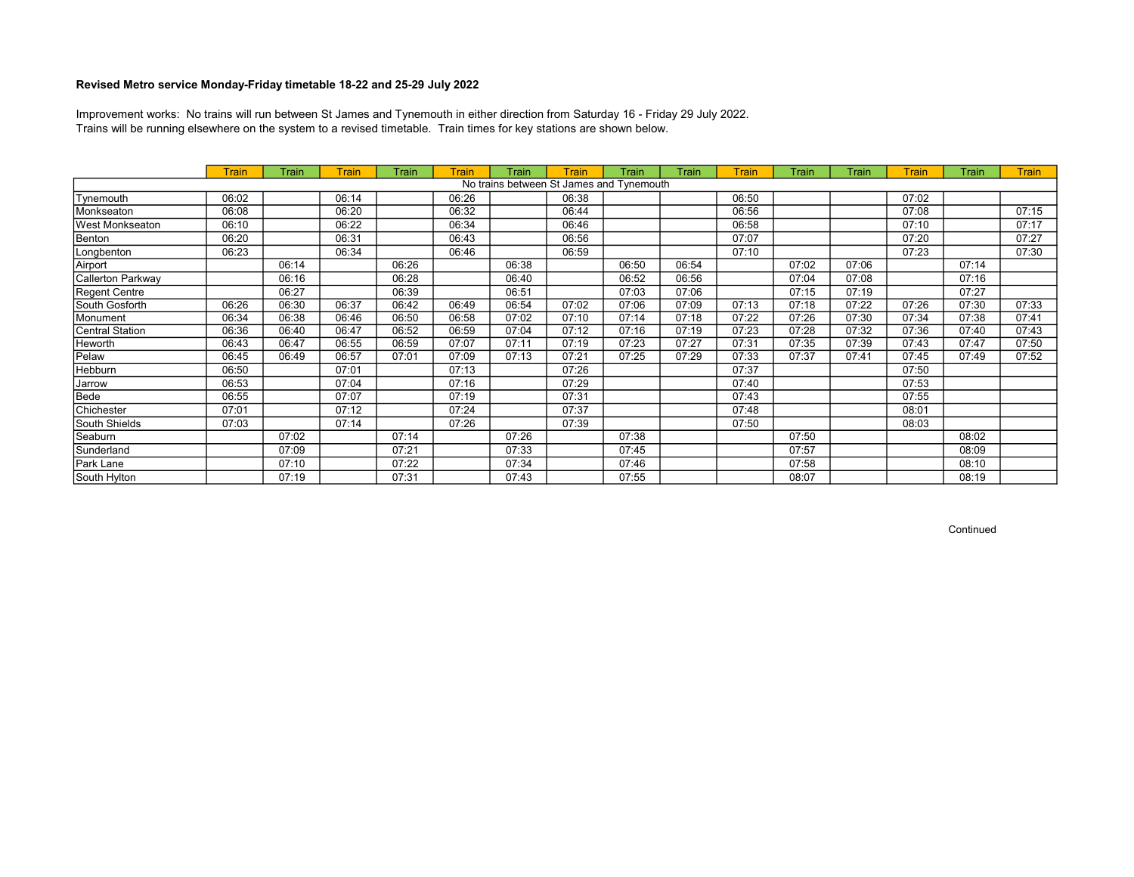Trains will be running elsewhere on the system to a revised timetable. Train times for key stations are shown below. Improvement works: No trains will run between St James and Tynemouth in either direction from Saturday 16 - Friday 29 July 2022.

|                        | <b>Train</b> | Train | Train | Train | Train | Train | <b>Train</b>                             | Train | Train | <b>Train</b> | Train | Train | <b>Train</b> | Train | <b>Train</b> |
|------------------------|--------------|-------|-------|-------|-------|-------|------------------------------------------|-------|-------|--------------|-------|-------|--------------|-------|--------------|
|                        |              |       |       |       |       |       | No trains between St James and Tynemouth |       |       |              |       |       |              |       |              |
| Tynemouth              | 06:02        |       | 06:14 |       | 06:26 |       | 06:38                                    |       |       | 06:50        |       |       | 07:02        |       |              |
| Monkseaton             | 06:08        |       | 06:20 |       | 06:32 |       | 06:44                                    |       |       | 06:56        |       |       | 07:08        |       | 07:15        |
| <b>West Monkseaton</b> | 06:10        |       | 06:22 |       | 06:34 |       | 06:46                                    |       |       | 06:58        |       |       | 07:10        |       | 07:17        |
| Benton                 | 06:20        |       | 06:31 |       | 06:43 |       | 06:56                                    |       |       | 07:07        |       |       | 07:20        |       | 07:27        |
| Longbenton             | 06:23        |       | 06:34 |       | 06:46 |       | 06:59                                    |       |       | 07:10        |       |       | 07:23        |       | 07:30        |
| Airport                |              | 06:14 |       | 06:26 |       | 06:38 |                                          | 06:50 | 06:54 |              | 07:02 | 07:06 |              | 07:14 |              |
| Callerton Parkway      |              | 06:16 |       | 06:28 |       | 06:40 |                                          | 06:52 | 06:56 |              | 07:04 | 07:08 |              | 07:16 |              |
| Regent Centre          |              | 06:27 |       | 06:39 |       | 06:51 |                                          | 07:03 | 07:06 |              | 07:15 | 07:19 |              | 07:27 |              |
| South Gosforth         | 06:26        | 06:30 | 06:37 | 06:42 | 06:49 | 06:54 | 07:02                                    | 07:06 | 07:09 | 07:13        | 07:18 | 07:22 | 07:26        | 07:30 | 07:33        |
| Monument               | 06:34        | 06:38 | 06:46 | 06:50 | 06:58 | 07:02 | 07:10                                    | 07:14 | 07:18 | 07:22        | 07:26 | 07:30 | 07:34        | 07:38 | 07:41        |
| Central Station        | 06:36        | 06:40 | 06:47 | 06:52 | 06:59 | 07:04 | 07:12                                    | 07:16 | 07:19 | 07:23        | 07:28 | 07:32 | 07:36        | 07:40 | 07:43        |
| <b>Heworth</b>         | 06:43        | 06:47 | 06:55 | 06:59 | 07:07 | 07:11 | 07:19                                    | 07:23 | 07:27 | 07:31        | 07:35 | 07:39 | 07:43        | 07:47 | 07:50        |
| Pelaw                  | 06:45        | 06:49 | 06:57 | 07:01 | 07:09 | 07:13 | 07:21                                    | 07:25 | 07:29 | 07:33        | 07:37 | 07:41 | 07:45        | 07:49 | 07:52        |
| Hebburn                | 06:50        |       | 07:01 |       | 07:13 |       | 07:26                                    |       |       | 07:37        |       |       | 07:50        |       |              |
| Jarrow                 | 06:53        |       | 07:04 |       | 07:16 |       | 07:29                                    |       |       | 07:40        |       |       | 07:53        |       |              |
| Bede                   | 06:55        |       | 07:07 |       | 07:19 |       | 07:31                                    |       |       | 07:43        |       |       | 07:55        |       |              |
| Chichester             | 07:01        |       | 07:12 |       | 07:24 |       | 07:37                                    |       |       | 07:48        |       |       | 08:01        |       |              |
| South Shields          | 07:03        |       | 07:14 |       | 07:26 |       | 07:39                                    |       |       | 07:50        |       |       | 08:03        |       |              |
| Seaburn                |              | 07:02 |       | 07:14 |       | 07:26 |                                          | 07:38 |       |              | 07:50 |       |              | 08:02 |              |
| Sunderland             |              | 07:09 |       | 07:21 |       | 07:33 |                                          | 07:45 |       |              | 07:57 |       |              | 08:09 |              |
| Park Lane              |              | 07:10 |       | 07:22 |       | 07:34 |                                          | 07:46 |       |              | 07:58 |       |              | 08:10 |              |
| South Hylton           |              | 07:19 |       | 07:31 |       | 07:43 |                                          | 07:55 |       |              | 08:07 |       |              | 08:19 |              |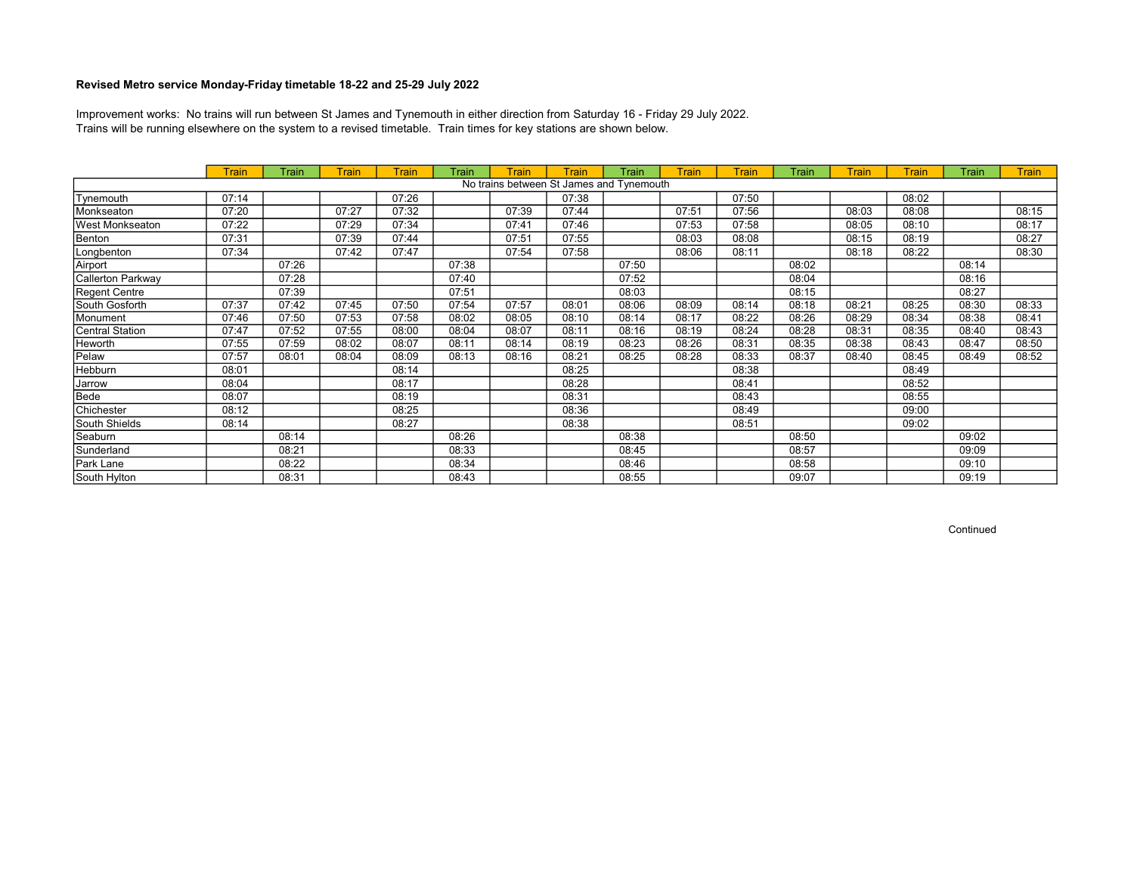Trains will be running elsewhere on the system to a revised timetable. Train times for key stations are shown below. Improvement works: No trains will run between St James and Tynemouth in either direction from Saturday 16 - Friday 29 July 2022.

|                   | <b>Train</b> | Train | Train | <b>Train</b> | Train | Train | <b>Train</b>                             | Train | <b>Train</b> | <b>Train</b> | Train | Train | <b>Train</b> | Train | <b>Train</b> |
|-------------------|--------------|-------|-------|--------------|-------|-------|------------------------------------------|-------|--------------|--------------|-------|-------|--------------|-------|--------------|
|                   |              |       |       |              |       |       | No trains between St James and Tynemouth |       |              |              |       |       |              |       |              |
| Tynemouth         | 07:14        |       |       | 07:26        |       |       | 07:38                                    |       |              | 07:50        |       |       | 08:02        |       |              |
| Monkseaton        | 07:20        |       | 07:27 | 07:32        |       | 07:39 | 07:44                                    |       | 07:51        | 07:56        |       | 08:03 | 08:08        |       | 08:15        |
| West Monkseaton   | 07:22        |       | 07:29 | 07:34        |       | 07:41 | 07:46                                    |       | 07:53        | 07:58        |       | 08:05 | 08:10        |       | 08:17        |
| Benton            | 07:31        |       | 07:39 | 07:44        |       | 07:51 | 07:55                                    |       | 08:03        | 08:08        |       | 08:15 | 08:19        |       | 08:27        |
| Longbenton        | 07:34        |       | 07:42 | 07:47        |       | 07:54 | 07:58                                    |       | 08:06        | 08:11        |       | 08:18 | 08:22        |       | 08:30        |
| Airport           |              | 07:26 |       |              | 07:38 |       |                                          | 07:50 |              |              | 08:02 |       |              | 08:14 |              |
| Callerton Parkway |              | 07:28 |       |              | 07:40 |       |                                          | 07:52 |              |              | 08:04 |       |              | 08:16 |              |
| Regent Centre     |              | 07:39 |       |              | 07:51 |       |                                          | 08:03 |              |              | 08:15 |       |              | 08:27 |              |
| South Gosforth    | 07:37        | 07:42 | 07:45 | 07:50        | 07:54 | 07:57 | 08:01                                    | 08:06 | 08:09        | 08:14        | 08:18 | 08:21 | 08:25        | 08:30 | 08:33        |
| Monument          | 07:46        | 07:50 | 07:53 | 07:58        | 08:02 | 08:05 | 08:10                                    | 08:14 | 08:17        | 08:22        | 08:26 | 08:29 | 08:34        | 08:38 | 08:41        |
| Central Station   | 07:47        | 07:52 | 07:55 | 08:00        | 08:04 | 08:07 | 08:11                                    | 08:16 | 08:19        | 08:24        | 08:28 | 08:31 | 08:35        | 08:40 | 08:43        |
| <b>Heworth</b>    | 07:55        | 07:59 | 08:02 | 08:07        | 08:11 | 08:14 | 08:19                                    | 08:23 | 08:26        | 08:31        | 08:35 | 08:38 | 08:43        | 08:47 | 08:50        |
| Pelaw             | 07:57        | 08:01 | 08:04 | 08:09        | 08:13 | 08:16 | 08:21                                    | 08:25 | 08:28        | 08:33        | 08:37 | 08:40 | 08:45        | 08:49 | 08:52        |
| Hebburn           | 08:01        |       |       | 08:14        |       |       | 08:25                                    |       |              | 08:38        |       |       | 08:49        |       |              |
| Jarrow            | 08:04        |       |       | 08:17        |       |       | 08:28                                    |       |              | 08:41        |       |       | 08:52        |       |              |
| Bede              | 08:07        |       |       | 08:19        |       |       | 08:31                                    |       |              | 08:43        |       |       | 08:55        |       |              |
| Chichester        | 08:12        |       |       | 08:25        |       |       | 08:36                                    |       |              | 08:49        |       |       | 09:00        |       |              |
| South Shields     | 08:14        |       |       | 08:27        |       |       | 08:38                                    |       |              | 08:51        |       |       | 09:02        |       |              |
| Seaburn           |              | 08:14 |       |              | 08:26 |       |                                          | 08:38 |              |              | 08:50 |       |              | 09:02 |              |
| Sunderland        |              | 08:21 |       |              | 08:33 |       |                                          | 08:45 |              |              | 08:57 |       |              | 09:09 |              |
| Park Lane         |              | 08:22 |       |              | 08:34 |       |                                          | 08:46 |              |              | 08:58 |       |              | 09:10 |              |
| South Hylton      |              | 08:31 |       |              | 08:43 |       |                                          | 08:55 |              |              | 09:07 |       |              | 09:19 |              |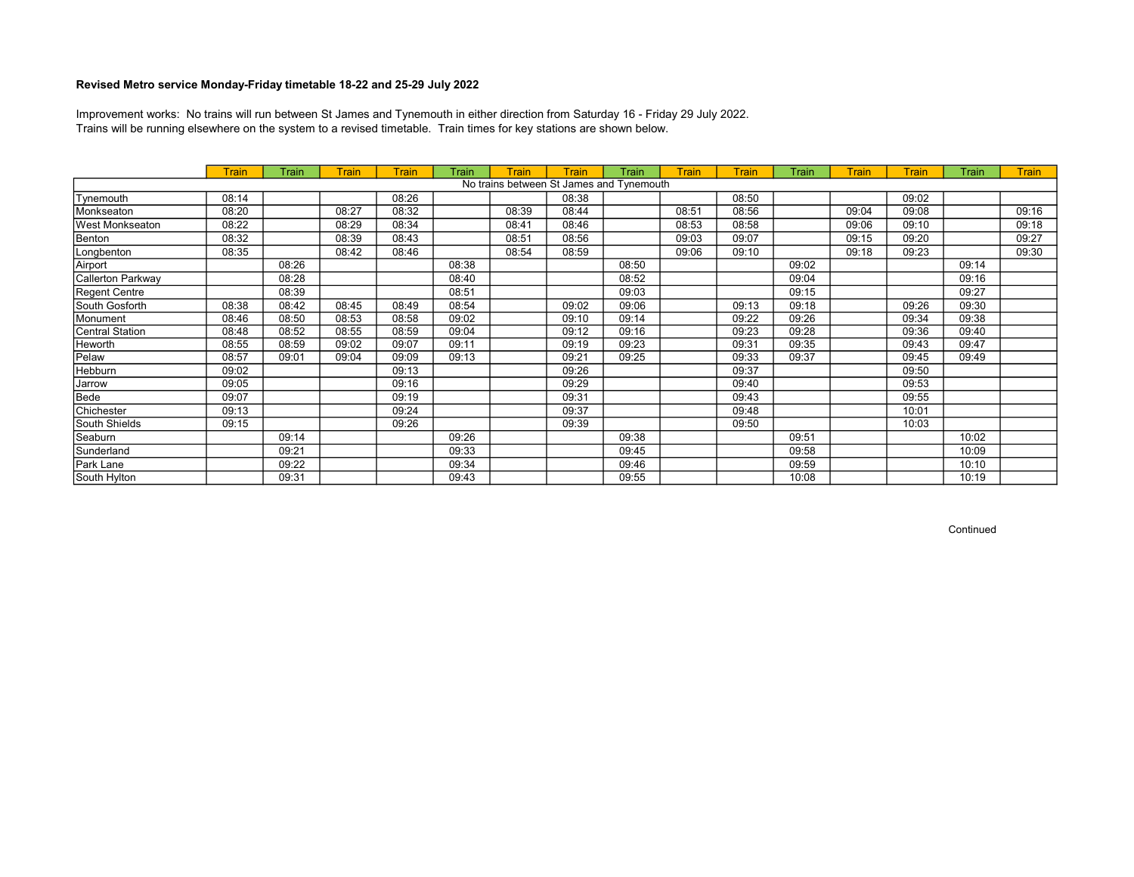Trains will be running elsewhere on the system to a revised timetable. Train times for key stations are shown below. Improvement works: No trains will run between St James and Tynemouth in either direction from Saturday 16 - Friday 29 July 2022.

|                        | <b>Train</b> | Train | <b>Train</b> | <b>Train</b> | Train | <b>Train</b> | <b>Train</b>                             | Train | <b>Train</b> | <b>Train</b> | Train | Train | <b>Train</b> | Train | <b>Train</b> |
|------------------------|--------------|-------|--------------|--------------|-------|--------------|------------------------------------------|-------|--------------|--------------|-------|-------|--------------|-------|--------------|
|                        |              |       |              |              |       |              | No trains between St James and Tynemouth |       |              |              |       |       |              |       |              |
| Tynemouth              | 08:14        |       |              | 08:26        |       |              | 08:38                                    |       |              | 08:50        |       |       | 09:02        |       |              |
| Monkseaton             | 08:20        |       | 08:27        | 08:32        |       | 08:39        | 08:44                                    |       | 08:51        | 08:56        |       | 09:04 | 09:08        |       | 09:16        |
| <b>West Monkseaton</b> | 08:22        |       | 08:29        | 08:34        |       | 08:41        | 08:46                                    |       | 08:53        | 08:58        |       | 09:06 | 09:10        |       | 09:18        |
| Benton                 | 08:32        |       | 08:39        | 08:43        |       | 08:51        | 08:56                                    |       | 09:03        | 09:07        |       | 09:15 | 09:20        |       | 09:27        |
| Longbenton             | 08:35        |       | 08:42        | 08:46        |       | 08:54        | 08:59                                    |       | 09:06        | 09:10        |       | 09:18 | 09:23        |       | 09:30        |
| Airport                |              | 08:26 |              |              | 08:38 |              |                                          | 08:50 |              |              | 09:02 |       |              | 09:14 |              |
| Callerton Parkway      |              | 08:28 |              |              | 08:40 |              |                                          | 08:52 |              |              | 09:04 |       |              | 09:16 |              |
| Regent Centre          |              | 08:39 |              |              | 08:51 |              |                                          | 09:03 |              |              | 09:15 |       |              | 09:27 |              |
| South Gosforth         | 08:38        | 08:42 | 08:45        | 08:49        | 08:54 |              | 09:02                                    | 09:06 |              | 09:13        | 09:18 |       | 09:26        | 09:30 |              |
| Monument               | 08:46        | 08:50 | 08:53        | 08:58        | 09:02 |              | 09:10                                    | 09:14 |              | 09:22        | 09:26 |       | 09:34        | 09:38 |              |
| Central Station        | 08:48        | 08:52 | 08:55        | 08:59        | 09:04 |              | 09:12                                    | 09:16 |              | 09:23        | 09:28 |       | 09:36        | 09:40 |              |
| Heworth                | 08:55        | 08:59 | 09:02        | 09:07        | 09:11 |              | 09:19                                    | 09:23 |              | 09:31        | 09:35 |       | 09:43        | 09:47 |              |
| Pelaw                  | 08:57        | 09:01 | 09:04        | 09:09        | 09:13 |              | 09:21                                    | 09:25 |              | 09:33        | 09:37 |       | 09:45        | 09:49 |              |
| Hebburn                | 09:02        |       |              | 09:13        |       |              | 09:26                                    |       |              | 09:37        |       |       | 09:50        |       |              |
| Jarrow                 | 09:05        |       |              | 09:16        |       |              | 09:29                                    |       |              | 09:40        |       |       | 09:53        |       |              |
| Bede                   | 09:07        |       |              | 09:19        |       |              | 09:31                                    |       |              | 09:43        |       |       | 09:55        |       |              |
| Chichester             | 09:13        |       |              | 09:24        |       |              | 09:37                                    |       |              | 09:48        |       |       | 10:01        |       |              |
| South Shields          | 09:15        |       |              | 09:26        |       |              | 09:39                                    |       |              | 09:50        |       |       | 10:03        |       |              |
| Seaburn                |              | 09:14 |              |              | 09:26 |              |                                          | 09:38 |              |              | 09:51 |       |              | 10:02 |              |
| Sunderland             |              | 09:21 |              |              | 09:33 |              |                                          | 09:45 |              |              | 09:58 |       |              | 10:09 |              |
| Park Lane              |              | 09:22 |              |              | 09:34 |              |                                          | 09:46 |              |              | 09:59 |       |              | 10:10 |              |
| South Hylton           |              | 09:31 |              |              | 09:43 |              |                                          | 09:55 |              |              | 10:08 |       |              | 10:19 |              |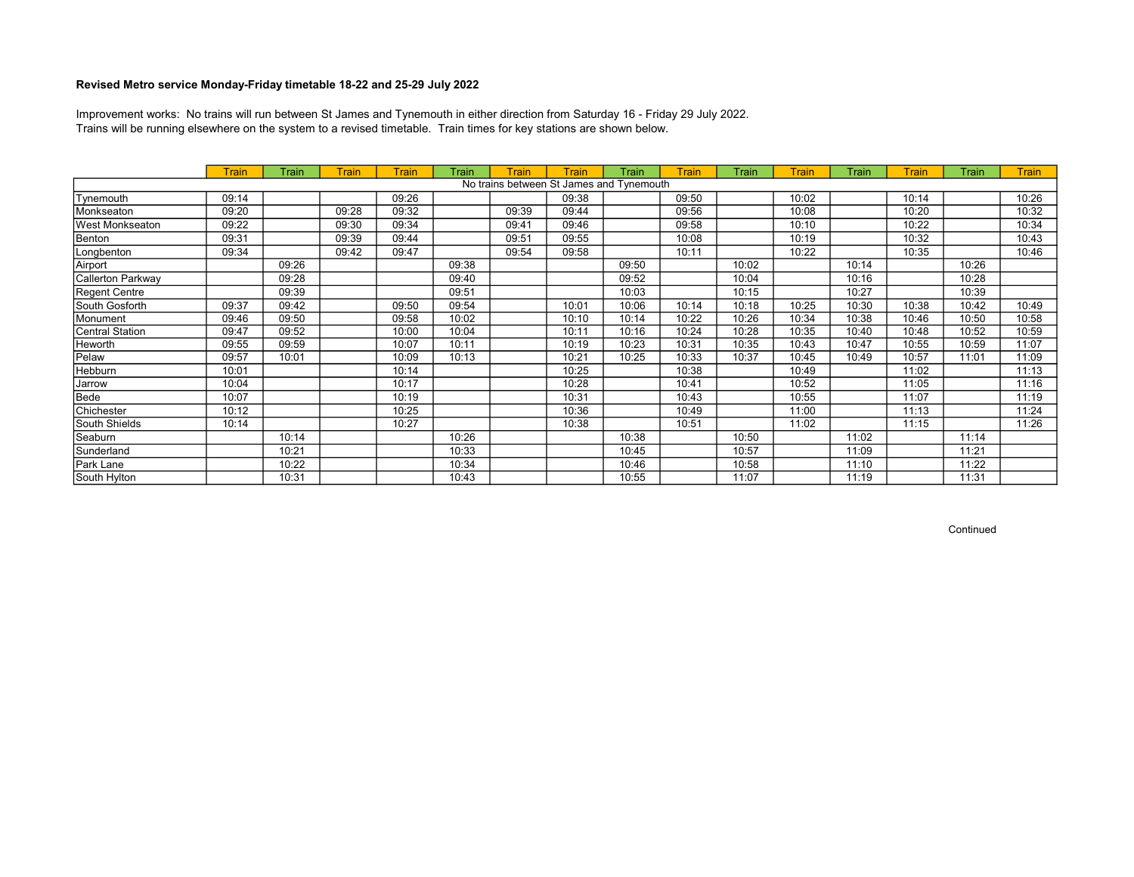Trains will be running elsewhere on the system to a revised timetable. Train times for key stations are shown below. Improvement works: No trains will run between St James and Tynemouth in either direction from Saturday 16 - Friday 29 July 2022.

|                   | <b>Train</b> | Train | Train | <b>Train</b> | Train | Train | <b>Train</b>                             | Train | Train | <b>Train</b> | <b>Train</b> | Train | <b>Train</b> | Train | <b>Train</b> |
|-------------------|--------------|-------|-------|--------------|-------|-------|------------------------------------------|-------|-------|--------------|--------------|-------|--------------|-------|--------------|
|                   |              |       |       |              |       |       | No trains between St James and Tynemouth |       |       |              |              |       |              |       |              |
| Tynemouth         | 09:14        |       |       | 09:26        |       |       | 09:38                                    |       | 09:50 |              | 10:02        |       | 10:14        |       | 10:26        |
| Monkseaton        | 09:20        |       | 09:28 | 09:32        |       | 09:39 | 09:44                                    |       | 09:56 |              | 10:08        |       | 10:20        |       | 10:32        |
| West Monkseaton   | 09:22        |       | 09:30 | 09:34        |       | 09:41 | 09:46                                    |       | 09:58 |              | 10:10        |       | 10:22        |       | 10:34        |
| Benton            | 09:31        |       | 09:39 | 09:44        |       | 09:51 | 09:55                                    |       | 10:08 |              | 10:19        |       | 10:32        |       | 10:43        |
| Longbenton        | 09:34        |       | 09:42 | 09:47        |       | 09:54 | 09:58                                    |       | 10:11 |              | 10:22        |       | 10:35        |       | 10:46        |
| Airport           |              | 09:26 |       |              | 09:38 |       |                                          | 09:50 |       | 10:02        |              | 10:14 |              | 10:26 |              |
| Callerton Parkway |              | 09:28 |       |              | 09:40 |       |                                          | 09:52 |       | 10:04        |              | 10:16 |              | 10:28 |              |
| Regent Centre     |              | 09:39 |       |              | 09:51 |       |                                          | 10:03 |       | 10:15        |              | 10:27 |              | 10:39 |              |
| South Gosforth    | 09:37        | 09:42 |       | 09:50        | 09:54 |       | 10:01                                    | 10:06 | 10:14 | 10:18        | 10:25        | 10:30 | 10:38        | 10:42 | 10:49        |
| Monument          | 09:46        | 09:50 |       | 09:58        | 10:02 |       | 10:10                                    | 10:14 | 10:22 | 10:26        | 10:34        | 10:38 | 10:46        | 10:50 | 10:58        |
| Central Station   | 09:47        | 09:52 |       | 10:00        | 10:04 |       | 10:11                                    | 10:16 | 10:24 | 10:28        | 10:35        | 10:40 | 10:48        | 10:52 | 10:59        |
| <b>Heworth</b>    | 09:55        | 09:59 |       | 10:07        | 10:11 |       | 10:19                                    | 10:23 | 10:31 | 10:35        | 10:43        | 10:47 | 10:55        | 10:59 | 11:07        |
| Pelaw             | 09:57        | 10:01 |       | 10:09        | 10:13 |       | 10:21                                    | 10:25 | 10:33 | 10:37        | 10:45        | 10:49 | 10:57        | 11:01 | 11:09        |
| Hebburn           | 10:01        |       |       | 10:14        |       |       | 10:25                                    |       | 10:38 |              | 10:49        |       | 11:02        |       | 11:13        |
| Jarrow            | 10:04        |       |       | 10:17        |       |       | 10:28                                    |       | 10:41 |              | 10:52        |       | 11:05        |       | 11:16        |
| Bede              | 10:07        |       |       | 10:19        |       |       | 10:31                                    |       | 10:43 |              | 10:55        |       | 11:07        |       | 11:19        |
| Chichester        | 10:12        |       |       | 10:25        |       |       | 10:36                                    |       | 10:49 |              | 11:00        |       | 11:13        |       | 11:24        |
| South Shields     | 10:14        |       |       | 10:27        |       |       | 10:38                                    |       | 10:51 |              | 11:02        |       | 11:15        |       | 11:26        |
| Seaburn           |              | 10:14 |       |              | 10:26 |       |                                          | 10:38 |       | 10:50        |              | 11:02 |              | 11:14 |              |
| Sunderland        |              | 10:21 |       |              | 10:33 |       |                                          | 10:45 |       | 10:57        |              | 11:09 |              | 11:21 |              |
| Park Lane         |              | 10:22 |       |              | 10:34 |       |                                          | 10:46 |       | 10:58        |              | 11:10 |              | 11:22 |              |
| South Hylton      |              | 10:31 |       |              | 10:43 |       |                                          | 10:55 |       | 11:07        |              | 11:19 |              | 11:31 |              |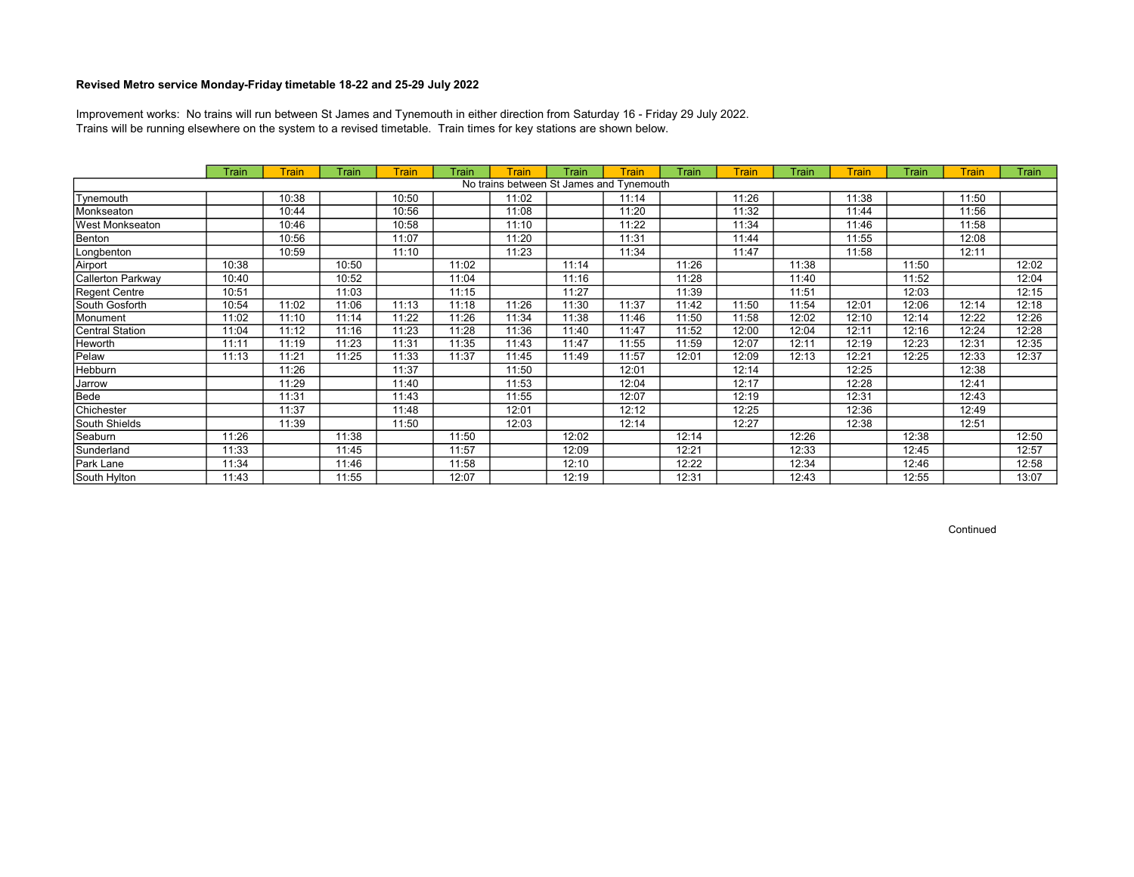Trains will be running elsewhere on the system to a revised timetable. Train times for key stations are shown below. Improvement works: No trains will run between St James and Tynemouth in either direction from Saturday 16 - Friday 29 July 2022.

|                   | <b>Train</b> | Train | Train | <b>Train</b> | Train | <b>Train</b> | Train                                    | Train | Train | <b>Train</b> | Train | <b>Train</b> | Train | <b>Train</b> | <b>Train</b> |
|-------------------|--------------|-------|-------|--------------|-------|--------------|------------------------------------------|-------|-------|--------------|-------|--------------|-------|--------------|--------------|
|                   |              |       |       |              |       |              | No trains between St James and Tynemouth |       |       |              |       |              |       |              |              |
| Tynemouth         |              | 10:38 |       | 10:50        |       | 11:02        |                                          | 11:14 |       | 11:26        |       | 11:38        |       | 11:50        |              |
| Monkseaton        |              | 10:44 |       | 10:56        |       | 11:08        |                                          | 11:20 |       | 11:32        |       | 11:44        |       | 11:56        |              |
| West Monkseaton   |              | 10:46 |       | 10:58        |       | 11:10        |                                          | 11:22 |       | 11:34        |       | 11:46        |       | 11:58        |              |
| Benton            |              | 10:56 |       | 11:07        |       | 11:20        |                                          | 11:31 |       | 11:44        |       | 11:55        |       | 12:08        |              |
| Longbenton        |              | 10:59 |       | 11:10        |       | 11:23        |                                          | 11:34 |       | 11:47        |       | 11:58        |       | 12:11        |              |
| Airport           | 10:38        |       | 10:50 |              | 11:02 |              | 11:14                                    |       | 11:26 |              | 11:38 |              | 11:50 |              | 12:02        |
| Callerton Parkway | 10:40        |       | 10:52 |              | 11:04 |              | 11:16                                    |       | 11:28 |              | 11:40 |              | 11:52 |              | 12:04        |
| Regent Centre     | 10:51        |       | 11:03 |              | 11:15 |              | 11:27                                    |       | 11:39 |              | 11:51 |              | 12:03 |              | 12:15        |
| South Gosforth    | 10:54        | 11:02 | 11:06 | 11:13        | 11:18 | 11:26        | 11:30                                    | 11:37 | 11:42 | 11:50        | 11:54 | 12:01        | 12:06 | 12:14        | 12:18        |
| Monument          | 11:02        | 11:10 | 11:14 | 11:22        | 11:26 | 11:34        | 11:38                                    | 11:46 | 11:50 | 11:58        | 12:02 | 12:10        | 12:14 | 12:22        | 12:26        |
| Central Station   | 11:04        | 11:12 | 11:16 | 11:23        | 11:28 | 11:36        | 11:40                                    | 11:47 | 11:52 | 12:00        | 12:04 | 12:11        | 12:16 | 12:24        | 12:28        |
| Heworth           | 11:11        | 11:19 | 11:23 | 11:31        | 11:35 | 11:43        | 11:47                                    | 11:55 | 11:59 | 12:07        | 12:11 | 12:19        | 12:23 | 12:31        | 12:35        |
| Pelaw             | 11:13        | 11:21 | 11:25 | 11:33        | 11:37 | 11:45        | 11:49                                    | 11:57 | 12:01 | 12:09        | 12:13 | 12:21        | 12:25 | 12:33        | 12:37        |
| Hebburn           |              | 11:26 |       | 11:37        |       | 11:50        |                                          | 12:01 |       | 12:14        |       | 12:25        |       | 12:38        |              |
| Jarrow            |              | 11:29 |       | 11:40        |       | 11:53        |                                          | 12:04 |       | 12:17        |       | 12:28        |       | 12:41        |              |
| Bede              |              | 11:31 |       | 11:43        |       | 11:55        |                                          | 12:07 |       | 12:19        |       | 12:31        |       | 12:43        |              |
| Chichester        |              | 11:37 |       | 11:48        |       | 12:01        |                                          | 12:12 |       | 12:25        |       | 12:36        |       | 12:49        |              |
| South Shields     |              | 11:39 |       | 11:50        |       | 12:03        |                                          | 12:14 |       | 12:27        |       | 12:38        |       | 12:51        |              |
| Seaburn           | 11:26        |       | 11:38 |              | 11:50 |              | 12:02                                    |       | 12:14 |              | 12:26 |              | 12:38 |              | 12:50        |
| Sunderland        | 11:33        |       | 11:45 |              | 11:57 |              | 12:09                                    |       | 12:21 |              | 12:33 |              | 12:45 |              | 12:57        |
| Park Lane         | 11:34        |       | 11:46 |              | 11:58 |              | 12:10                                    |       | 12:22 |              | 12:34 |              | 12:46 |              | 12:58        |
| South Hylton      | 11:43        |       | 11:55 |              | 12:07 |              | 12:19                                    |       | 12:31 |              | 12:43 |              | 12:55 |              | 13:07        |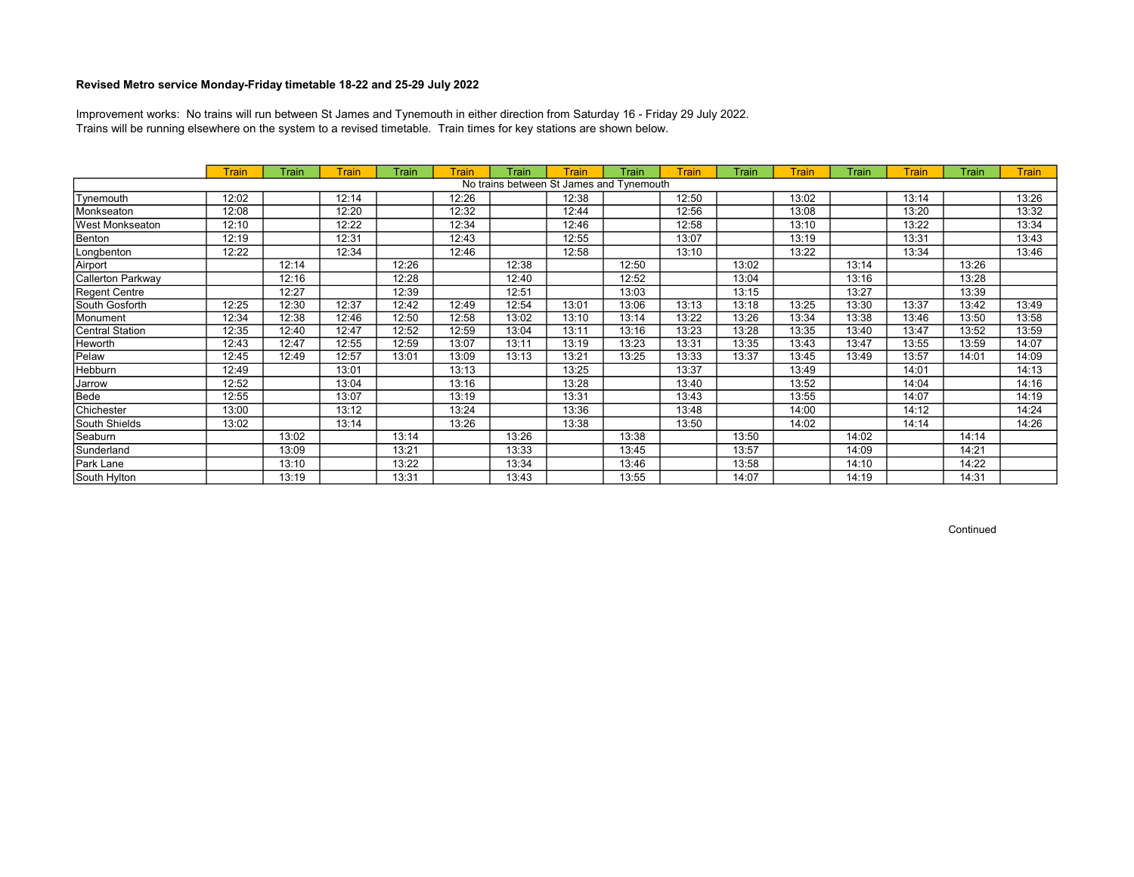Trains will be running elsewhere on the system to a revised timetable. Train times for key stations are shown below. Improvement works: No trains will run between St James and Tynemouth in either direction from Saturday 16 - Friday 29 July 2022.

|                   | <b>Train</b> | Train | Train | Train | <b>Train</b> | Train | Train                                    | Train | <b>Train</b> | Train | <b>Train</b> | Train | <b>Train</b> | Train | <b>Train</b> |
|-------------------|--------------|-------|-------|-------|--------------|-------|------------------------------------------|-------|--------------|-------|--------------|-------|--------------|-------|--------------|
|                   |              |       |       |       |              |       | No trains between St James and Tynemouth |       |              |       |              |       |              |       |              |
| Tynemouth         | 12:02        |       | 12:14 |       | 12:26        |       | 12:38                                    |       | 12:50        |       | 13:02        |       | 13:14        |       | 13:26        |
| Monkseaton        | 12:08        |       | 12:20 |       | 12:32        |       | 12:44                                    |       | 12:56        |       | 13:08        |       | 13:20        |       | 13:32        |
| West Monkseaton   | 12:10        |       | 12:22 |       | 12:34        |       | 12:46                                    |       | 12:58        |       | 13:10        |       | 13:22        |       | 13:34        |
| Benton            | 12:19        |       | 12:31 |       | 12:43        |       | 12:55                                    |       | 13:07        |       | 13:19        |       | 13:31        |       | 13:43        |
| Longbenton        | 12:22        |       | 12:34 |       | 12:46        |       | 12:58                                    |       | 13:10        |       | 13:22        |       | 13:34        |       | 13:46        |
| Airport           |              | 12:14 |       | 12:26 |              | 12:38 |                                          | 12:50 |              | 13:02 |              | 13:14 |              | 13:26 |              |
| Callerton Parkway |              | 12:16 |       | 12:28 |              | 12:40 |                                          | 12:52 |              | 13:04 |              | 13:16 |              | 13:28 |              |
| Regent Centre     |              | 12:27 |       | 12:39 |              | 12:51 |                                          | 13:03 |              | 13:15 |              | 13:27 |              | 13:39 |              |
| South Gosforth    | 12:25        | 12:30 | 12:37 | 12:42 | 12:49        | 12:54 | 13:01                                    | 13:06 | 13:13        | 13:18 | 13:25        | 13:30 | 13:37        | 13:42 | 13:49        |
| Monument          | 12:34        | 12:38 | 12:46 | 12:50 | 12:58        | 13:02 | 13:10                                    | 13:14 | 13:22        | 13:26 | 13:34        | 13:38 | 13:46        | 13:50 | 13:58        |
| Central Station   | 12:35        | 12:40 | 12:47 | 12:52 | 12:59        | 13:04 | 13:11                                    | 13:16 | 13:23        | 13:28 | 13:35        | 13:40 | 13:47        | 13:52 | 13:59        |
| Heworth           | 12:43        | 12:47 | 12:55 | 12:59 | 13:07        | 13:11 | 13:19                                    | 13:23 | 13:31        | 13:35 | 13:43        | 13:47 | 13:55        | 13:59 | 14:07        |
| Pelaw             | 12:45        | 12:49 | 12:57 | 13:01 | 13:09        | 13:13 | 13:21                                    | 13:25 | 13:33        | 13:37 | 13:45        | 13:49 | 13:57        | 14:01 | 14:09        |
| Hebburn           | 12:49        |       | 13:01 |       | 13:13        |       | 13:25                                    |       | 13:37        |       | 13:49        |       | 14:01        |       | 14:13        |
| Jarrow            | 12:52        |       | 13:04 |       | 13:16        |       | 13:28                                    |       | 13:40        |       | 13:52        |       | 14:04        |       | 14:16        |
| Bede              | 12:55        |       | 13:07 |       | 13:19        |       | 13:31                                    |       | 13:43        |       | 13:55        |       | 14:07        |       | 14:19        |
| Chichester        | 13:00        |       | 13:12 |       | 13:24        |       | 13:36                                    |       | 13:48        |       | 14:00        |       | 14:12        |       | 14:24        |
| South Shields     | 13:02        |       | 13:14 |       | 13:26        |       | 13:38                                    |       | 13:50        |       | 14:02        |       | 14:14        |       | 14:26        |
| Seaburn           |              | 13:02 |       | 13:14 |              | 13:26 |                                          | 13:38 |              | 13:50 |              | 14:02 |              | 14:14 |              |
| Sunderland        |              | 13:09 |       | 13:21 |              | 13:33 |                                          | 13:45 |              | 13:57 |              | 14:09 |              | 14:21 |              |
| Park Lane         |              | 13:10 |       | 13:22 |              | 13:34 |                                          | 13:46 |              | 13:58 |              | 14:10 |              | 14:22 |              |
| South Hylton      |              | 13:19 |       | 13:31 |              | 13:43 |                                          | 13:55 |              | 14:07 |              | 14:19 |              | 14:31 |              |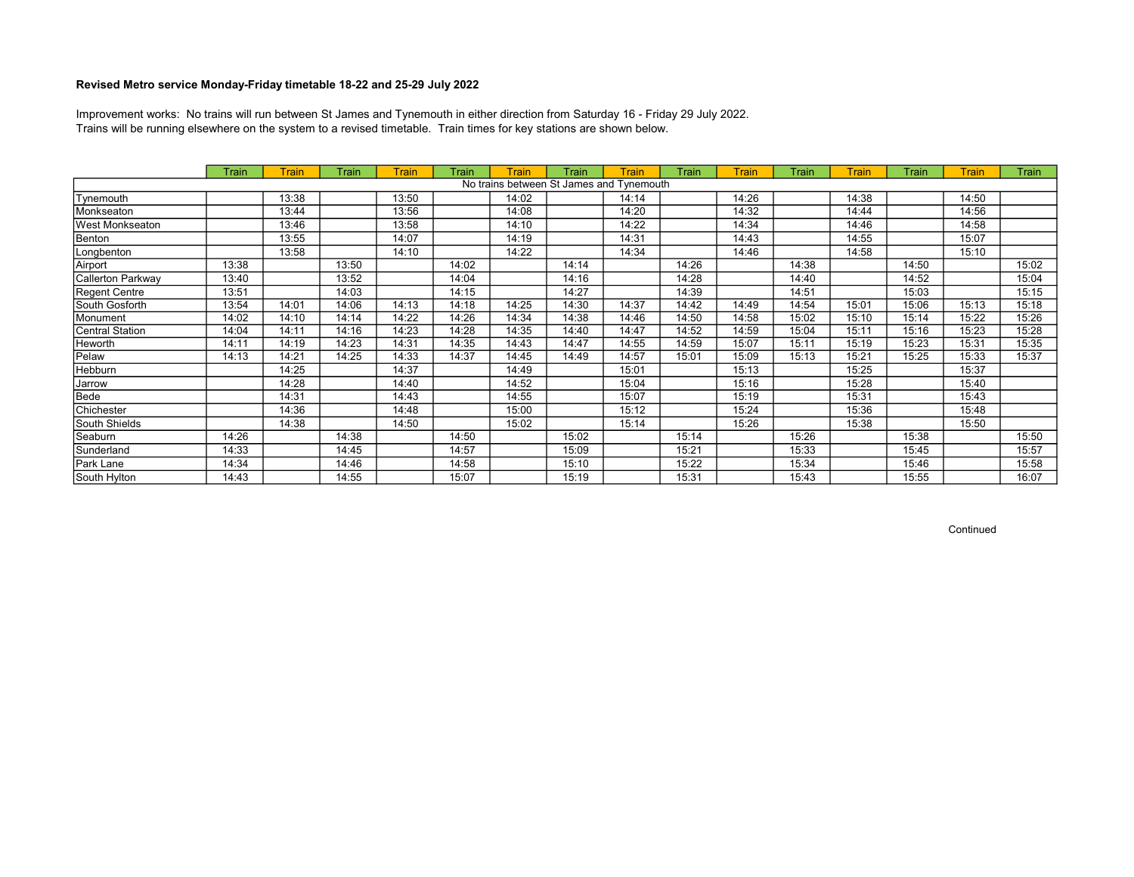Trains will be running elsewhere on the system to a revised timetable. Train times for key stations are shown below. Improvement works: No trains will run between St James and Tynemouth in either direction from Saturday 16 - Friday 29 July 2022.

|                   | <b>Train</b> | Train | Train | <b>Train</b> | Train | <b>Train</b> | Train | Train                                    | Train | <b>Train</b> | Train | <b>Train</b> | Train | <b>Train</b> | <b>Train</b> |
|-------------------|--------------|-------|-------|--------------|-------|--------------|-------|------------------------------------------|-------|--------------|-------|--------------|-------|--------------|--------------|
|                   |              |       |       |              |       |              |       | No trains between St James and Tynemouth |       |              |       |              |       |              |              |
| Tynemouth         |              | 13:38 |       | 13:50        |       | 14:02        |       | 14:14                                    |       | 14:26        |       | 14:38        |       | 14:50        |              |
| Monkseaton        |              | 13:44 |       | 13:56        |       | 14:08        |       | 14:20                                    |       | 14:32        |       | 14:44        |       | 14:56        |              |
| West Monkseaton   |              | 13:46 |       | 13:58        |       | 14:10        |       | 14:22                                    |       | 14:34        |       | 14:46        |       | 14:58        |              |
| Benton            |              | 13:55 |       | 14:07        |       | 14:19        |       | 14:31                                    |       | 14:43        |       | 14:55        |       | 15:07        |              |
| Longbenton        |              | 13:58 |       | 14:10        |       | 14:22        |       | 14:34                                    |       | 14:46        |       | 14:58        |       | 15:10        |              |
| Airport           | 13:38        |       | 13:50 |              | 14:02 |              | 14:14 |                                          | 14:26 |              | 14:38 |              | 14:50 |              | 15:02        |
| Callerton Parkway | 13:40        |       | 13:52 |              | 14:04 |              | 14:16 |                                          | 14:28 |              | 14:40 |              | 14:52 |              | 15:04        |
| Regent Centre     | 13:51        |       | 14:03 |              | 14:15 |              | 14:27 |                                          | 14:39 |              | 14:51 |              | 15:03 |              | 15:15        |
| South Gosforth    | 13:54        | 14:01 | 14:06 | 14:13        | 14:18 | 14:25        | 14:30 | 14:37                                    | 14:42 | 14:49        | 14:54 | 15:01        | 15:06 | 15:13        | 15:18        |
| Monument          | 14:02        | 14:10 | 14:14 | 14:22        | 14:26 | 14:34        | 14:38 | 14:46                                    | 14:50 | 14:58        | 15:02 | 15:10        | 15:14 | 15:22        | 15:26        |
| Central Station   | 14:04        | 14:11 | 14:16 | 14:23        | 14:28 | 14:35        | 14:40 | 14:47                                    | 14:52 | 14:59        | 15:04 | 15:11        | 15:16 | 15:23        | 15:28        |
| Heworth           | 14:11        | 14:19 | 14:23 | 14:31        | 14:35 | 14:43        | 14:47 | 14:55                                    | 14:59 | 15:07        | 15:11 | 15:19        | 15:23 | 15:31        | 15:35        |
| Pelaw             | 14:13        | 14:21 | 14:25 | 14:33        | 14:37 | 14:45        | 14:49 | 14:57                                    | 15:01 | 15:09        | 15:13 | 15:21        | 15:25 | 15:33        | 15:37        |
| Hebburn           |              | 14:25 |       | 14:37        |       | 14:49        |       | 15:01                                    |       | 15:13        |       | 15:25        |       | 15:37        |              |
| Jarrow            |              | 14:28 |       | 14:40        |       | 14:52        |       | 15:04                                    |       | 15:16        |       | 15:28        |       | 15:40        |              |
| Bede              |              | 14:31 |       | 14:43        |       | 14:55        |       | 15:07                                    |       | 15:19        |       | 15:31        |       | 15:43        |              |
| Chichester        |              | 14:36 |       | 14:48        |       | 15:00        |       | 15:12                                    |       | 15:24        |       | 15:36        |       | 15:48        |              |
| South Shields     |              | 14:38 |       | 14:50        |       | 15:02        |       | 15:14                                    |       | 15:26        |       | 15:38        |       | 15:50        |              |
| Seaburn           | 14:26        |       | 14:38 |              | 14:50 |              | 15:02 |                                          | 15:14 |              | 15:26 |              | 15:38 |              | 15:50        |
| Sunderland        | 14:33        |       | 14:45 |              | 14:57 |              | 15:09 |                                          | 15:21 |              | 15:33 |              | 15:45 |              | 15:57        |
| Park Lane         | 14:34        |       | 14:46 |              | 14:58 |              | 15:10 |                                          | 15:22 |              | 15:34 |              | 15:46 |              | 15:58        |
| South Hylton      | 14:43        |       | 14:55 |              | 15:07 |              | 15:19 |                                          | 15:31 |              | 15:43 |              | 15:55 |              | 16:07        |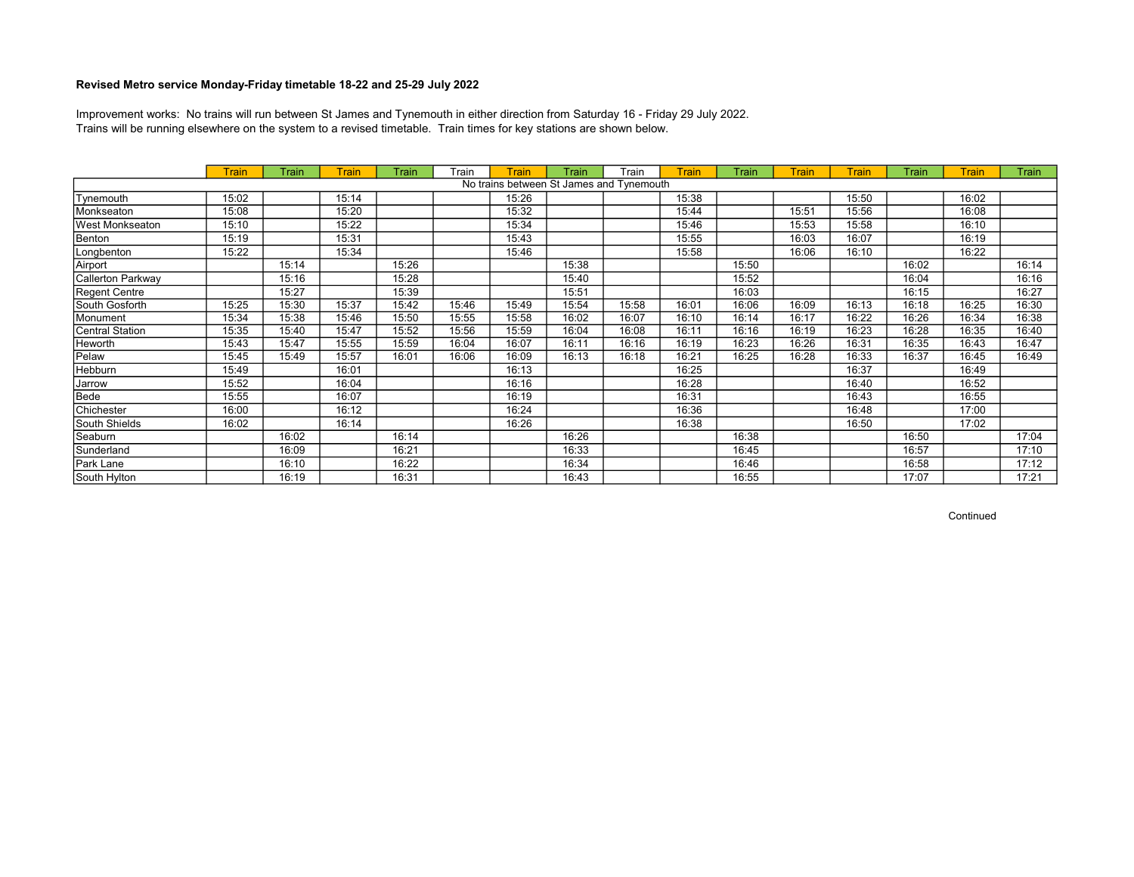Trains will be running elsewhere on the system to a revised timetable. Train times for key stations are shown below. Improvement works: No trains will run between St James and Tynemouth in either direction from Saturday 16 - Friday 29 July 2022.

|                   | <b>Train</b> | Train | Train | Train | Train | Train | Train                                    | Train | <b>Train</b> | Train | <b>Train</b> | Train | Train | <b>Train</b> | Train |
|-------------------|--------------|-------|-------|-------|-------|-------|------------------------------------------|-------|--------------|-------|--------------|-------|-------|--------------|-------|
|                   |              |       |       |       |       |       | No trains between St James and Tynemouth |       |              |       |              |       |       |              |       |
| Tynemouth         | 15:02        |       | 15:14 |       |       | 15:26 |                                          |       | 15:38        |       |              | 15:50 |       | 16:02        |       |
| Monkseaton        | 15:08        |       | 15:20 |       |       | 15:32 |                                          |       | 15:44        |       | 15:51        | 15:56 |       | 16:08        |       |
| West Monkseaton   | 15:10        |       | 15:22 |       |       | 15:34 |                                          |       | 15:46        |       | 15:53        | 15:58 |       | 16:10        |       |
| Benton            | 15:19        |       | 15:31 |       |       | 15:43 |                                          |       | 15:55        |       | 16:03        | 16:07 |       | 16:19        |       |
| Longbenton        | 15:22        |       | 15:34 |       |       | 15:46 |                                          |       | 15:58        |       | 16:06        | 16:10 |       | 16:22        |       |
| Airport           |              | 15:14 |       | 15:26 |       |       | 15:38                                    |       |              | 15:50 |              |       | 16:02 |              | 16:14 |
| Callerton Parkway |              | 15:16 |       | 15:28 |       |       | 15:40                                    |       |              | 15:52 |              |       | 16:04 |              | 16:16 |
| Regent Centre     |              | 15:27 |       | 15:39 |       |       | 15:51                                    |       |              | 16:03 |              |       | 16:15 |              | 16:27 |
| South Gosforth    | 15:25        | 15:30 | 15:37 | 15:42 | 15:46 | 15:49 | 15:54                                    | 15:58 | 16:01        | 16:06 | 16:09        | 16:13 | 16:18 | 16:25        | 16:30 |
| Monument          | 15:34        | 15:38 | 15:46 | 15:50 | 15:55 | 15:58 | 16:02                                    | 16:07 | 16:10        | 16:14 | 16:17        | 16:22 | 16:26 | 16:34        | 16:38 |
| Central Station   | 15:35        | 15:40 | 15:47 | 15:52 | 15:56 | 15:59 | 16:04                                    | 16:08 | 16:11        | 16:16 | 16:19        | 16:23 | 16:28 | 16:35        | 16:40 |
| Heworth           | 15:43        | 15:47 | 15:55 | 15:59 | 16:04 | 16:07 | 16:11                                    | 16:16 | 16:19        | 16:23 | 16:26        | 16:31 | 16:35 | 16:43        | 16:47 |
| Pelaw             | 15:45        | 15:49 | 15:57 | 16:01 | 16:06 | 16:09 | 16:13                                    | 16:18 | 16:21        | 16:25 | 16:28        | 16:33 | 16:37 | 16:45        | 16:49 |
| Hebburn           | 15:49        |       | 16:01 |       |       | 16:13 |                                          |       | 16:25        |       |              | 16:37 |       | 16:49        |       |
| Jarrow            | 15:52        |       | 16:04 |       |       | 16:16 |                                          |       | 16:28        |       |              | 16:40 |       | 16:52        |       |
| Bede              | 15:55        |       | 16:07 |       |       | 16:19 |                                          |       | 16:31        |       |              | 16:43 |       | 16:55        |       |
| Chichester        | 16:00        |       | 16:12 |       |       | 16:24 |                                          |       | 16:36        |       |              | 16:48 |       | 17:00        |       |
| South Shields     | 16:02        |       | 16:14 |       |       | 16:26 |                                          |       | 16:38        |       |              | 16:50 |       | 17:02        |       |
| Seaburn           |              | 16:02 |       | 16:14 |       |       | 16:26                                    |       |              | 16:38 |              |       | 16:50 |              | 17:04 |
| Sunderland        |              | 16:09 |       | 16:21 |       |       | 16:33                                    |       |              | 16:45 |              |       | 16:57 |              | 17:10 |
| Park Lane         |              | 16:10 |       | 16:22 |       |       | 16:34                                    |       |              | 16:46 |              |       | 16:58 |              | 17:12 |
| South Hylton      |              | 16:19 |       | 16:31 |       |       | 16:43                                    |       |              | 16:55 |              |       | 17:07 |              | 17:21 |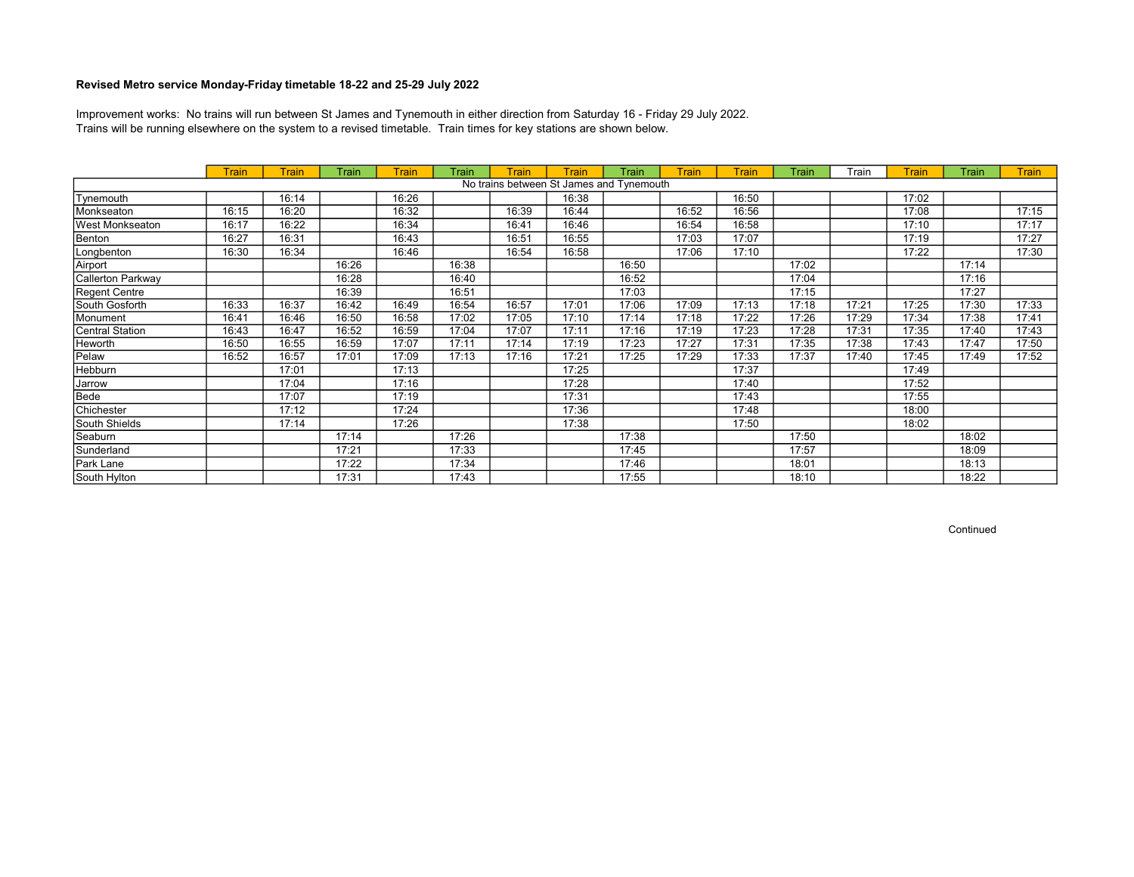Trains will be running elsewhere on the system to a revised timetable. Train times for key stations are shown below. Improvement works: No trains will run between St James and Tynemouth in either direction from Saturday 16 - Friday 29 July 2022.

|                        | <b>Train</b> | Train | Train | Train | Train | Train | Train                                    | Train | <b>Train</b> | <b>Train</b> | Train | Train | <b>Train</b> | Train | <b>Train</b> |
|------------------------|--------------|-------|-------|-------|-------|-------|------------------------------------------|-------|--------------|--------------|-------|-------|--------------|-------|--------------|
|                        |              |       |       |       |       |       | No trains between St James and Tynemouth |       |              |              |       |       |              |       |              |
| Tynemouth              |              | 16:14 |       | 16:26 |       |       | 16:38                                    |       |              | 16:50        |       |       | 17:02        |       |              |
| Monkseaton             | 16:15        | 16:20 |       | 16:32 |       | 16:39 | 16:44                                    |       | 16:52        | 16:56        |       |       | 17:08        |       | 17:15        |
| <b>West Monkseaton</b> | 16:17        | 16:22 |       | 16:34 |       | 16:41 | 16:46                                    |       | 16:54        | 16:58        |       |       | 17:10        |       | 17:17        |
| Benton                 | 16:27        | 16:31 |       | 16:43 |       | 16:51 | 16:55                                    |       | 17:03        | 17:07        |       |       | 17:19        |       | 17:27        |
| Longbenton             | 16:30        | 16:34 |       | 16:46 |       | 16:54 | 16:58                                    |       | 17:06        | 17:10        |       |       | 17:22        |       | 17:30        |
| Airport                |              |       | 16:26 |       | 16:38 |       |                                          | 16:50 |              |              | 17:02 |       |              | 17:14 |              |
| Callerton Parkway      |              |       | 16:28 |       | 16:40 |       |                                          | 16:52 |              |              | 17:04 |       |              | 17:16 |              |
| Regent Centre          |              |       | 16:39 |       | 16:51 |       |                                          | 17:03 |              |              | 17:15 |       |              | 17:27 |              |
| South Gosforth         | 16:33        | 16:37 | 16:42 | 16:49 | 16:54 | 16:57 | 17:01                                    | 17:06 | 17:09        | 17:13        | 17:18 | 17:21 | 17:25        | 17:30 | 17:33        |
| Monument               | 16:41        | 16:46 | 16:50 | 16:58 | 17:02 | 17:05 | 17:10                                    | 17:14 | 17:18        | 17:22        | 17:26 | 17:29 | 17:34        | 17:38 | 17:41        |
| Central Station        | 16:43        | 16:47 | 16:52 | 16:59 | 17:04 | 17:07 | 17:11                                    | 17:16 | 17:19        | 17:23        | 17:28 | 17:31 | 17:35        | 17:40 | 17:43        |
| Heworth                | 16:50        | 16:55 | 16:59 | 17:07 | 17:11 | 17:14 | 17:19                                    | 17:23 | 17:27        | 17:31        | 17:35 | 17:38 | 17:43        | 17:47 | 17:50        |
| Pelaw                  | 16:52        | 16:57 | 17:01 | 17:09 | 17:13 | 17:16 | 17:21                                    | 17:25 | 17:29        | 17:33        | 17:37 | 17:40 | 17:45        | 17:49 | 17:52        |
| Hebburn                |              | 17:01 |       | 17:13 |       |       | 17:25                                    |       |              | 17:37        |       |       | 17:49        |       |              |
| Jarrow                 |              | 17:04 |       | 17:16 |       |       | 17:28                                    |       |              | 17:40        |       |       | 17:52        |       |              |
| Bede                   |              | 17:07 |       | 17:19 |       |       | 17:31                                    |       |              | 17:43        |       |       | 17:55        |       |              |
| Chichester             |              | 17:12 |       | 17:24 |       |       | 17:36                                    |       |              | 17:48        |       |       | 18:00        |       |              |
| South Shields          |              | 17:14 |       | 17:26 |       |       | 17:38                                    |       |              | 17:50        |       |       | 18:02        |       |              |
| Seaburn                |              |       | 17:14 |       | 17:26 |       |                                          | 17:38 |              |              | 17:50 |       |              | 18:02 |              |
| Sunderland             |              |       | 17:21 |       | 17:33 |       |                                          | 17:45 |              |              | 17:57 |       |              | 18:09 |              |
| Park Lane              |              |       | 17:22 |       | 17:34 |       |                                          | 17:46 |              |              | 18:01 |       |              | 18:13 |              |
| South Hylton           |              |       | 17:31 |       | 17:43 |       |                                          | 17:55 |              |              | 18:10 |       |              | 18:22 |              |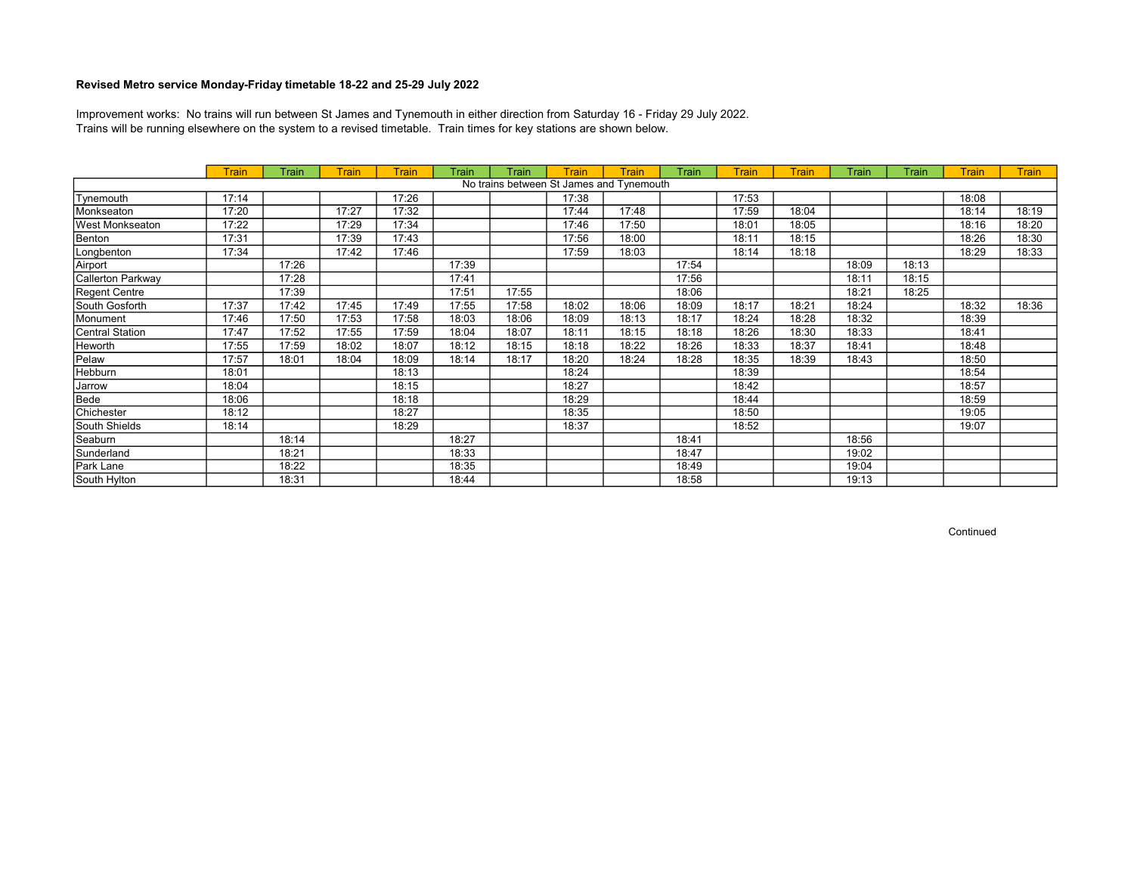Trains will be running elsewhere on the system to a revised timetable. Train times for key stations are shown below. Improvement works: No trains will run between St James and Tynemouth in either direction from Saturday 16 - Friday 29 July 2022.

|                   | <b>Train</b> | Train | Train | <b>Train</b> | Train | Train | Train | Train                                    | Train | <b>Train</b> | Train | Train | Train | <b>Train</b> | <b>Train</b> |
|-------------------|--------------|-------|-------|--------------|-------|-------|-------|------------------------------------------|-------|--------------|-------|-------|-------|--------------|--------------|
|                   |              |       |       |              |       |       |       | No trains between St James and Tynemouth |       |              |       |       |       |              |              |
| Tynemouth         | 17:14        |       |       | 17:26        |       |       | 17:38 |                                          |       | 17:53        |       |       |       | 18:08        |              |
| Monkseaton        | 17:20        |       | 17:27 | 17:32        |       |       | 17:44 | 17:48                                    |       | 17:59        | 18:04 |       |       | 18:14        | 18:19        |
| West Monkseaton   | 17:22        |       | 17:29 | 17:34        |       |       | 17:46 | 17:50                                    |       | 18:01        | 18:05 |       |       | 18:16        | 18:20        |
| Benton            | 17:31        |       | 17:39 | 17:43        |       |       | 17:56 | 18:00                                    |       | 18:11        | 18:15 |       |       | 18:26        | 18:30        |
| Longbenton        | 17:34        |       | 17:42 | 17:46        |       |       | 17:59 | 18:03                                    |       | 18:14        | 18:18 |       |       | 18:29        | 18:33        |
| Airport           |              | 17:26 |       |              | 17:39 |       |       |                                          | 17:54 |              |       | 18:09 | 18:13 |              |              |
| Callerton Parkway |              | 17:28 |       |              | 17:41 |       |       |                                          | 17:56 |              |       | 18:11 | 18:15 |              |              |
| Regent Centre     |              | 17:39 |       |              | 17:51 | 17:55 |       |                                          | 18:06 |              |       | 18:21 | 18:25 |              |              |
| South Gosforth    | 17:37        | 17:42 | 17:45 | 17:49        | 17:55 | 17:58 | 18:02 | 18:06                                    | 18:09 | 18:17        | 18:21 | 18:24 |       | 18:32        | 18:36        |
| Monument          | 17:46        | 17:50 | 17:53 | 17:58        | 18:03 | 18:06 | 18:09 | 18:13                                    | 18:17 | 18:24        | 18:28 | 18:32 |       | 18:39        |              |
| Central Station   | 17:47        | 17:52 | 17:55 | 17:59        | 18:04 | 18:07 | 18:11 | 18:15                                    | 18:18 | 18:26        | 18:30 | 18:33 |       | 18:41        |              |
| Heworth           | 17:55        | 17:59 | 18:02 | 18:07        | 18:12 | 18:15 | 18:18 | 18:22                                    | 18:26 | 18:33        | 18:37 | 18:41 |       | 18:48        |              |
| Pelaw             | 17:57        | 18:01 | 18:04 | 18:09        | 18:14 | 18:17 | 18:20 | 18:24                                    | 18:28 | 18:35        | 18:39 | 18:43 |       | 18:50        |              |
| Hebburn           | 18:01        |       |       | 18:13        |       |       | 18:24 |                                          |       | 18:39        |       |       |       | 18:54        |              |
| Jarrow            | 18:04        |       |       | 18:15        |       |       | 18:27 |                                          |       | 18:42        |       |       |       | 18:57        |              |
| Bede              | 18:06        |       |       | 18:18        |       |       | 18:29 |                                          |       | 18:44        |       |       |       | 18:59        |              |
| Chichester        | 18:12        |       |       | 18:27        |       |       | 18:35 |                                          |       | 18:50        |       |       |       | 19:05        |              |
| South Shields     | 18:14        |       |       | 18:29        |       |       | 18:37 |                                          |       | 18:52        |       |       |       | 19:07        |              |
| Seaburn           |              | 18:14 |       |              | 18:27 |       |       |                                          | 18:41 |              |       | 18:56 |       |              |              |
| Sunderland        |              | 18:21 |       |              | 18:33 |       |       |                                          | 18:47 |              |       | 19:02 |       |              |              |
| Park Lane         |              | 18:22 |       |              | 18:35 |       |       |                                          | 18:49 |              |       | 19:04 |       |              |              |
| South Hylton      |              | 18:31 |       |              | 18:44 |       |       |                                          | 18:58 |              |       | 19:13 |       |              |              |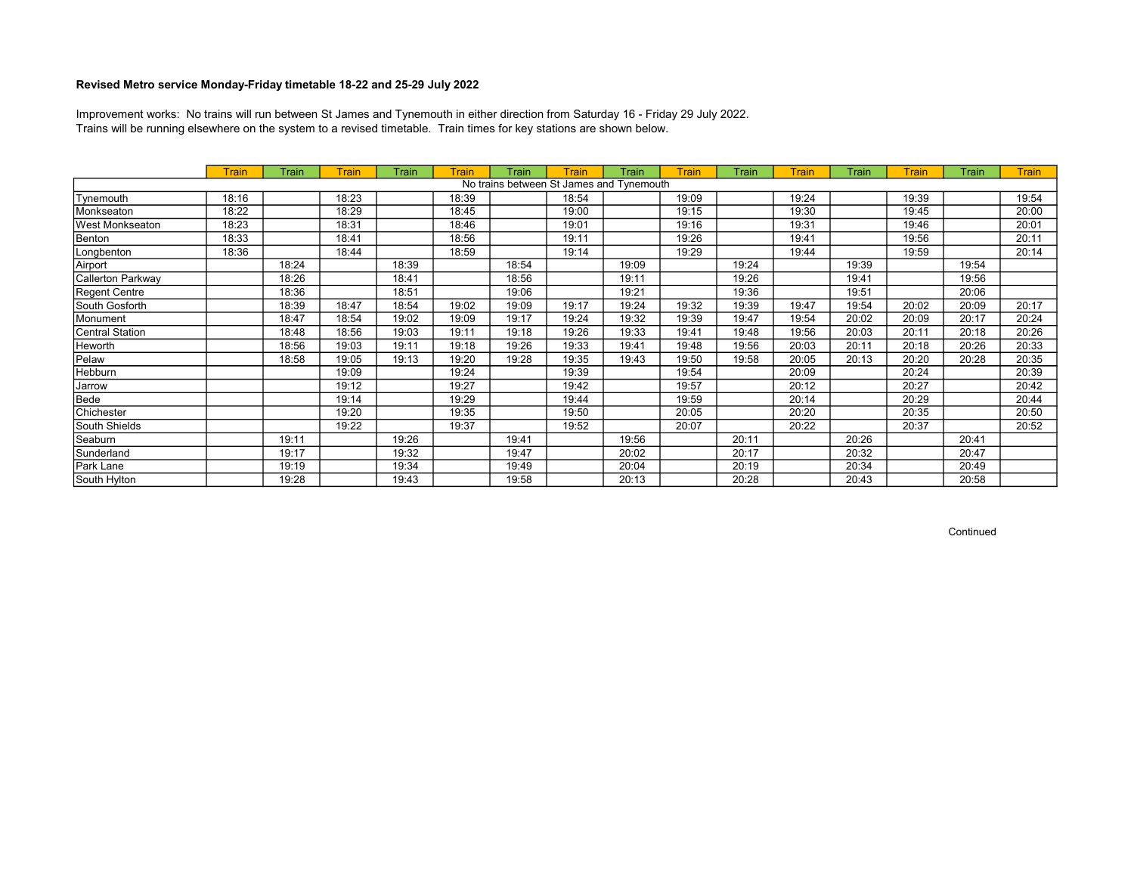Trains will be running elsewhere on the system to a revised timetable. Train times for key stations are shown below. Improvement works: No trains will run between St James and Tynemouth in either direction from Saturday 16 - Friday 29 July 2022.

|                        | <b>Train</b> | Train | Train | Train | <b>Train</b> | Train | Train                                    | Train | Train | Train | <b>Train</b> | Train | <b>Train</b> | Train | <b>Train</b> |
|------------------------|--------------|-------|-------|-------|--------------|-------|------------------------------------------|-------|-------|-------|--------------|-------|--------------|-------|--------------|
|                        |              |       |       |       |              |       | No trains between St James and Tynemouth |       |       |       |              |       |              |       |              |
| Tynemouth              | 18:16        |       | 18:23 |       | 18:39        |       | 18:54                                    |       | 19:09 |       | 19:24        |       | 19:39        |       | 19:54        |
| Monkseaton             | 18:22        |       | 18:29 |       | 18:45        |       | 19:00                                    |       | 19:15 |       | 19:30        |       | 19:45        |       | 20:00        |
| <b>West Monkseaton</b> | 18:23        |       | 18:31 |       | 18:46        |       | 19:01                                    |       | 19:16 |       | 19:31        |       | 19:46        |       | 20:01        |
| Benton                 | 18:33        |       | 18:41 |       | 18:56        |       | 19:11                                    |       | 19:26 |       | 19:41        |       | 19:56        |       | 20:11        |
| Longbenton             | 18:36        |       | 18:44 |       | 18:59        |       | 19:14                                    |       | 19:29 |       | 19:44        |       | 19:59        |       | 20:14        |
| Airport                |              | 18:24 |       | 18:39 |              | 18:54 |                                          | 19:09 |       | 19:24 |              | 19:39 |              | 19:54 |              |
| Callerton Parkway      |              | 18:26 |       | 18:41 |              | 18:56 |                                          | 19:11 |       | 19:26 |              | 19:41 |              | 19:56 |              |
| Regent Centre          |              | 18:36 |       | 18:51 |              | 19:06 |                                          | 19:21 |       | 19:36 |              | 19:51 |              | 20:06 |              |
| South Gosforth         |              | 18:39 | 18:47 | 18:54 | 19:02        | 19:09 | 19:17                                    | 19:24 | 19:32 | 19:39 | 19:47        | 19:54 | 20:02        | 20:09 | 20:17        |
| Monument               |              | 18:47 | 18:54 | 19:02 | 19:09        | 19:17 | 19:24                                    | 19:32 | 19:39 | 19:47 | 19:54        | 20:02 | 20:09        | 20:17 | 20:24        |
| Central Station        |              | 18:48 | 18:56 | 19:03 | 19:11        | 19:18 | 19:26                                    | 19:33 | 19:41 | 19:48 | 19:56        | 20:03 | 20:11        | 20:18 | 20:26        |
| Heworth                |              | 18:56 | 19:03 | 19:11 | 19:18        | 19:26 | 19:33                                    | 19:41 | 19:48 | 19:56 | 20:03        | 20:11 | 20:18        | 20:26 | 20:33        |
| Pelaw                  |              | 18:58 | 19:05 | 19:13 | 19:20        | 19:28 | 19:35                                    | 19:43 | 19:50 | 19:58 | 20:05        | 20:13 | 20:20        | 20:28 | 20:35        |
| Hebburn                |              |       | 19:09 |       | 19:24        |       | 19:39                                    |       | 19:54 |       | 20:09        |       | 20:24        |       | 20:39        |
| Jarrow                 |              |       | 19:12 |       | 19:27        |       | 19:42                                    |       | 19:57 |       | 20:12        |       | 20:27        |       | 20:42        |
| Bede                   |              |       | 19:14 |       | 19:29        |       | 19:44                                    |       | 19:59 |       | 20:14        |       | 20:29        |       | 20:44        |
| Chichester             |              |       | 19:20 |       | 19:35        |       | 19:50                                    |       | 20:05 |       | 20:20        |       | 20:35        |       | 20:50        |
| South Shields          |              |       | 19:22 |       | 19:37        |       | 19:52                                    |       | 20:07 |       | 20:22        |       | 20:37        |       | 20:52        |
| Seaburn                |              | 19:11 |       | 19:26 |              | 19:41 |                                          | 19:56 |       | 20:11 |              | 20:26 |              | 20:41 |              |
| Sunderland             |              | 19:17 |       | 19:32 |              | 19:47 |                                          | 20:02 |       | 20:17 |              | 20:32 |              | 20:47 |              |
| Park Lane              |              | 19:19 |       | 19:34 |              | 19:49 |                                          | 20:04 |       | 20:19 |              | 20:34 |              | 20:49 |              |
| South Hylton           |              | 19:28 |       | 19:43 |              | 19:58 |                                          | 20:13 |       | 20:28 |              | 20:43 |              | 20:58 |              |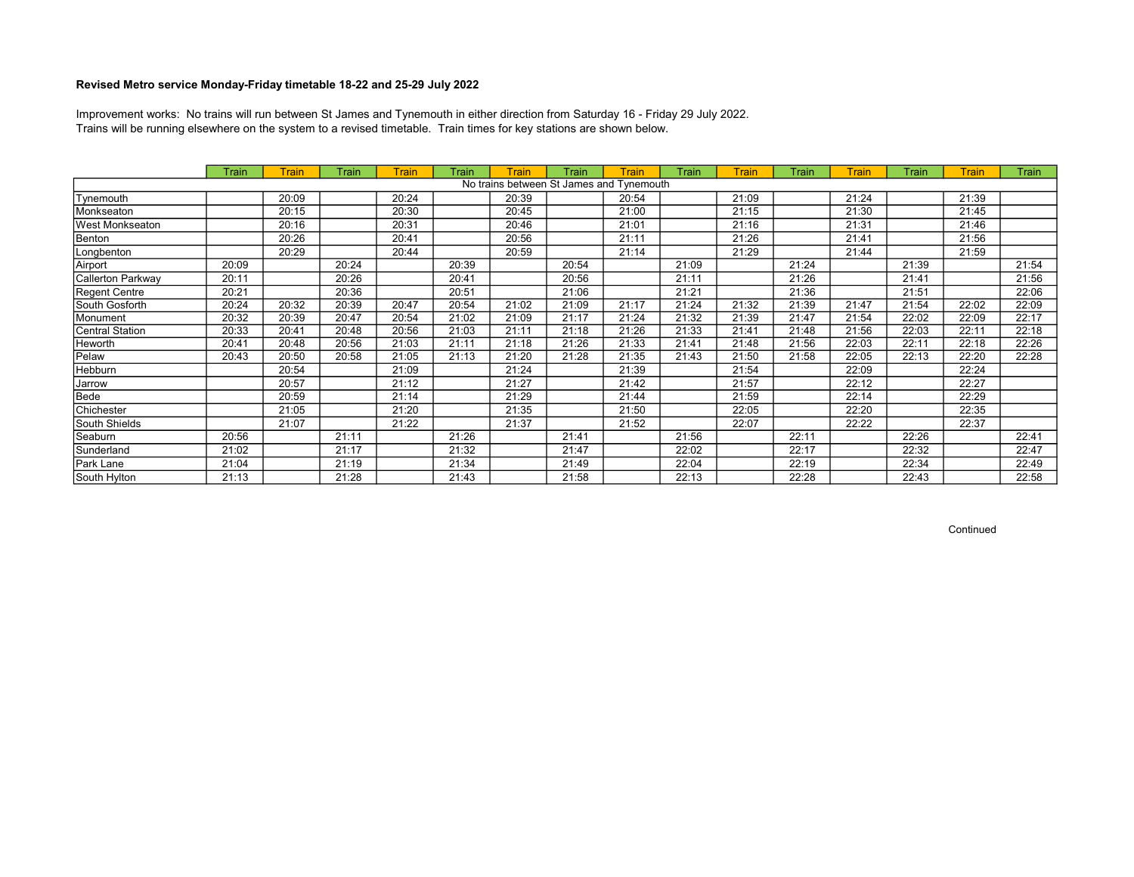Trains will be running elsewhere on the system to a revised timetable. Train times for key stations are shown below. Improvement works: No trains will run between St James and Tynemouth in either direction from Saturday 16 - Friday 29 July 2022.

|                                          | Train | <b>Train</b> | Train | <b>Train</b> | Train | <b>Train</b> | Train | Train | Train | <b>Train</b> | Train | <b>Train</b> | Train | <b>Train</b> | Train |
|------------------------------------------|-------|--------------|-------|--------------|-------|--------------|-------|-------|-------|--------------|-------|--------------|-------|--------------|-------|
| No trains between St James and Tynemouth |       |              |       |              |       |              |       |       |       |              |       |              |       |              |       |
| Tynemouth                                |       | 20:09        |       | 20:24        |       | 20:39        |       | 20:54 |       | 21:09        |       | 21:24        |       | 21:39        |       |
| Monkseaton                               |       | 20:15        |       | 20:30        |       | 20:45        |       | 21:00 |       | 21:15        |       | 21:30        |       | 21:45        |       |
| West Monkseaton                          |       | 20:16        |       | 20:31        |       | 20:46        |       | 21:01 |       | 21:16        |       | 21:31        |       | 21:46        |       |
| Benton                                   |       | 20:26        |       | 20:41        |       | 20:56        |       | 21:11 |       | 21:26        |       | 21:41        |       | 21:56        |       |
| Longbenton                               |       | 20:29        |       | 20:44        |       | 20:59        |       | 21:14 |       | 21:29        |       | 21:44        |       | 21:59        |       |
| Airport                                  | 20:09 |              | 20:24 |              | 20:39 |              | 20:54 |       | 21:09 |              | 21:24 |              | 21:39 |              | 21:54 |
| Callerton Parkway                        | 20:11 |              | 20:26 |              | 20:41 |              | 20:56 |       | 21:11 |              | 21:26 |              | 21:41 |              | 21:56 |
| Regent Centre                            | 20:21 |              | 20:36 |              | 20:51 |              | 21:06 |       | 21:21 |              | 21:36 |              | 21:51 |              | 22:06 |
| South Gosforth                           | 20:24 | 20:32        | 20:39 | 20:47        | 20:54 | 21:02        | 21:09 | 21:17 | 21:24 | 21:32        | 21:39 | 21:47        | 21:54 | 22:02        | 22:09 |
| Monument                                 | 20:32 | 20:39        | 20:47 | 20:54        | 21:02 | 21:09        | 21:17 | 21:24 | 21:32 | 21:39        | 21:47 | 21:54        | 22:02 | 22:09        | 22:17 |
| Central Station                          | 20:33 | 20:41        | 20:48 | 20:56        | 21:03 | 21:11        | 21:18 | 21:26 | 21:33 | 21:41        | 21:48 | 21:56        | 22:03 | 22:11        | 22:18 |
| <b>Heworth</b>                           | 20:41 | 20:48        | 20:56 | 21:03        | 21:11 | 21:18        | 21:26 | 21:33 | 21:41 | 21:48        | 21:56 | 22:03        | 22:11 | 22:18        | 22:26 |
| Pelaw                                    | 20:43 | 20:50        | 20:58 | 21:05        | 21:13 | 21:20        | 21:28 | 21:35 | 21:43 | 21:50        | 21:58 | 22:05        | 22:13 | 22:20        | 22:28 |
| Hebburn                                  |       | 20:54        |       | 21:09        |       | 21:24        |       | 21:39 |       | 21:54        |       | 22:09        |       | 22:24        |       |
| Jarrow                                   |       | 20:57        |       | 21:12        |       | 21:27        |       | 21:42 |       | 21:57        |       | 22:12        |       | 22:27        |       |
| Bede                                     |       | 20:59        |       | 21:14        |       | 21:29        |       | 21:44 |       | 21:59        |       | 22:14        |       | 22:29        |       |
| Chichester                               |       | 21:05        |       | 21:20        |       | 21:35        |       | 21:50 |       | 22:05        |       | 22:20        |       | 22:35        |       |
| South Shields                            |       | 21:07        |       | 21:22        |       | 21:37        |       | 21:52 |       | 22:07        |       | 22:22        |       | 22:37        |       |
| Seaburn                                  | 20:56 |              | 21:11 |              | 21:26 |              | 21:41 |       | 21:56 |              | 22:11 |              | 22:26 |              | 22:41 |
| Sunderland                               | 21:02 |              | 21:17 |              | 21:32 |              | 21:47 |       | 22:02 |              | 22:17 |              | 22:32 |              | 22:47 |
| Park Lane                                | 21:04 |              | 21:19 |              | 21:34 |              | 21:49 |       | 22:04 |              | 22:19 |              | 22:34 |              | 22:49 |
| South Hylton                             | 21:13 |              | 21:28 |              | 21:43 |              | 21:58 |       | 22:13 |              | 22:28 |              | 22:43 |              | 22:58 |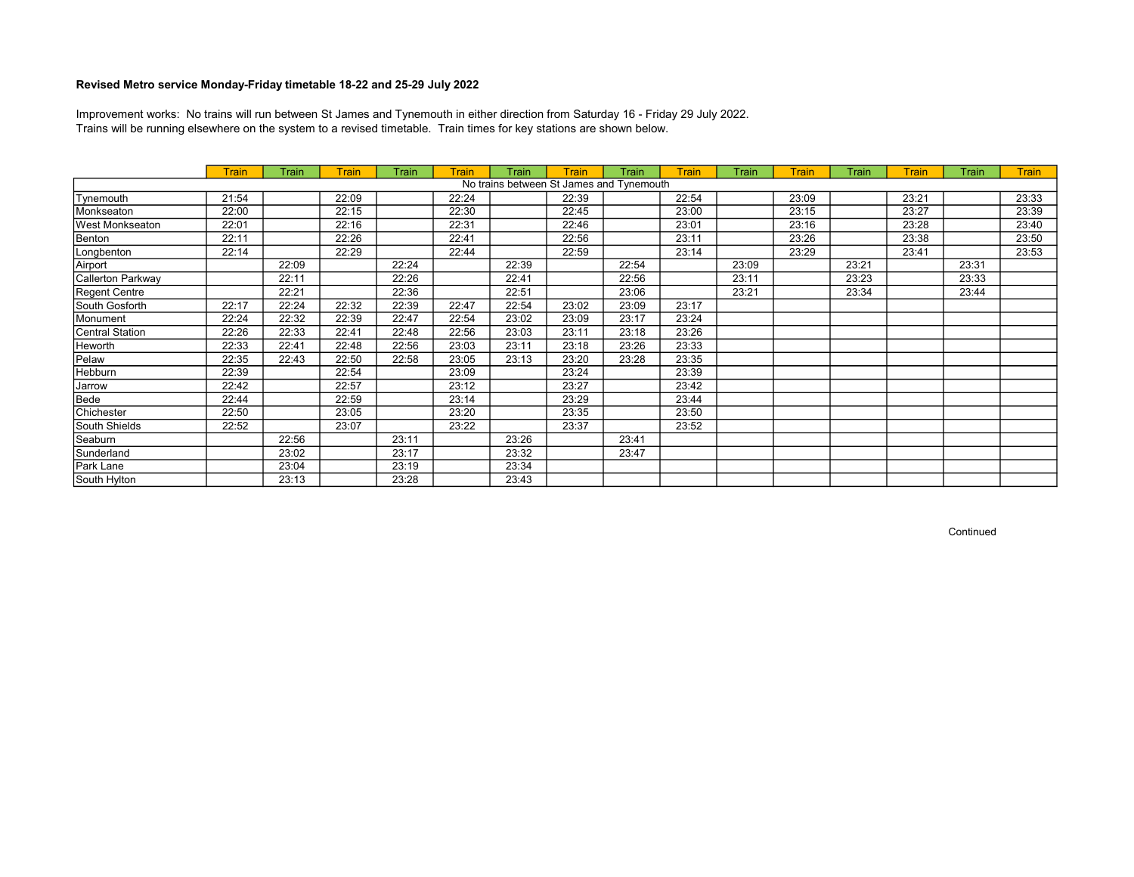Trains will be running elsewhere on the system to a revised timetable. Train times for key stations are shown below. Improvement works: No trains will run between St James and Tynemouth in either direction from Saturday 16 - Friday 29 July 2022.

|                                          | <b>Train</b> | Train | Train | Train | Train | Train | Train | Train | <b>Train</b> | Train | <b>Train</b> | Train | <b>Train</b> | Train | <b>Train</b> |
|------------------------------------------|--------------|-------|-------|-------|-------|-------|-------|-------|--------------|-------|--------------|-------|--------------|-------|--------------|
| No trains between St James and Tynemouth |              |       |       |       |       |       |       |       |              |       |              |       |              |       |              |
| Tynemouth                                | 21:54        |       | 22:09 |       | 22:24 |       | 22:39 |       | 22:54        |       | 23:09        |       | 23:21        |       | 23:33        |
| Monkseaton                               | 22:00        |       | 22:15 |       | 22:30 |       | 22:45 |       | 23:00        |       | 23:15        |       | 23:27        |       | 23:39        |
| West Monkseaton                          | 22:01        |       | 22:16 |       | 22:31 |       | 22:46 |       | 23:01        |       | 23:16        |       | 23:28        |       | 23:40        |
| Benton                                   | 22:11        |       | 22:26 |       | 22:41 |       | 22:56 |       | 23:11        |       | 23:26        |       | 23:38        |       | 23:50        |
| Longbenton                               | 22:14        |       | 22:29 |       | 22:44 |       | 22:59 |       | 23:14        |       | 23:29        |       | 23:41        |       | 23:53        |
| Airport                                  |              | 22:09 |       | 22:24 |       | 22:39 |       | 22:54 |              | 23:09 |              | 23:21 |              | 23:31 |              |
| Callerton Parkway                        |              | 22:11 |       | 22:26 |       | 22:41 |       | 22:56 |              | 23:11 |              | 23:23 |              | 23:33 |              |
| Regent Centre                            |              | 22:21 |       | 22:36 |       | 22:51 |       | 23:06 |              | 23:21 |              | 23:34 |              | 23:44 |              |
| South Gosforth                           | 22:17        | 22:24 | 22:32 | 22:39 | 22:47 | 22:54 | 23:02 | 23:09 | 23:17        |       |              |       |              |       |              |
| Monument                                 | 22:24        | 22:32 | 22:39 | 22:47 | 22:54 | 23:02 | 23:09 | 23:17 | 23:24        |       |              |       |              |       |              |
| Central Station                          | 22:26        | 22:33 | 22:41 | 22:48 | 22:56 | 23:03 | 23:11 | 23:18 | 23:26        |       |              |       |              |       |              |
| Heworth                                  | 22:33        | 22:41 | 22:48 | 22:56 | 23:03 | 23:11 | 23:18 | 23:26 | 23:33        |       |              |       |              |       |              |
| Pelaw                                    | 22:35        | 22:43 | 22:50 | 22:58 | 23:05 | 23:13 | 23:20 | 23:28 | 23:35        |       |              |       |              |       |              |
| Hebburn                                  | 22:39        |       | 22:54 |       | 23:09 |       | 23:24 |       | 23:39        |       |              |       |              |       |              |
| Jarrow                                   | 22:42        |       | 22:57 |       | 23:12 |       | 23:27 |       | 23:42        |       |              |       |              |       |              |
| Bede                                     | 22:44        |       | 22:59 |       | 23:14 |       | 23:29 |       | 23:44        |       |              |       |              |       |              |
| Chichester                               | 22:50        |       | 23:05 |       | 23:20 |       | 23:35 |       | 23:50        |       |              |       |              |       |              |
| South Shields                            | 22:52        |       | 23:07 |       | 23:22 |       | 23:37 |       | 23:52        |       |              |       |              |       |              |
| Seaburn                                  |              | 22:56 |       | 23:11 |       | 23:26 |       | 23:41 |              |       |              |       |              |       |              |
| Sunderland                               |              | 23:02 |       | 23:17 |       | 23:32 |       | 23:47 |              |       |              |       |              |       |              |
| Park Lane                                |              | 23:04 |       | 23:19 |       | 23:34 |       |       |              |       |              |       |              |       |              |
| South Hylton                             |              | 23:13 |       | 23:28 |       | 23:43 |       |       |              |       |              |       |              |       |              |